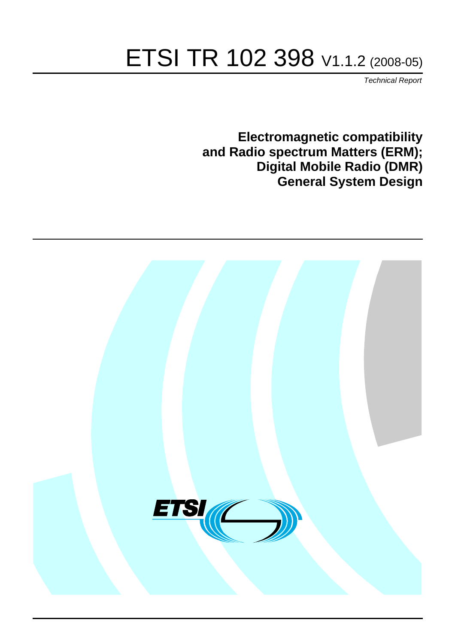# ETSI TR 102 398 V1.1.2 (2008-05)

*Technical Report*

**Electromagnetic compatibility and Radio spectrum Matters (ERM); Digital Mobile Radio (DMR) General System Design**

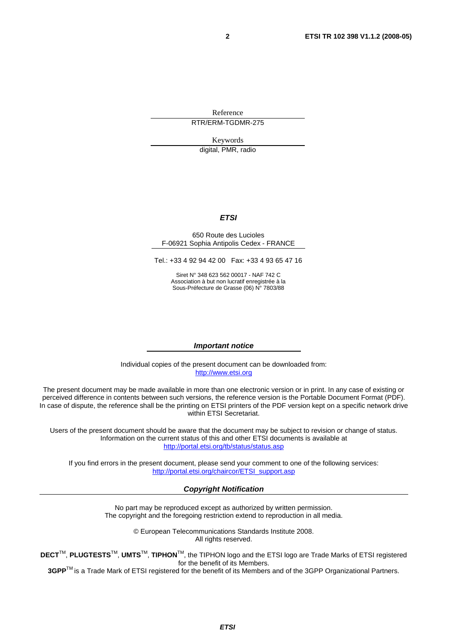Reference RTR/ERM-TGDMR-275

Keywords

digital, PMR, radio

#### *ETSI*

#### 650 Route des Lucioles F-06921 Sophia Antipolis Cedex - FRANCE

Tel.: +33 4 92 94 42 00 Fax: +33 4 93 65 47 16

Siret N° 348 623 562 00017 - NAF 742 C Association à but non lucratif enregistrée à la Sous-Préfecture de Grasse (06) N° 7803/88

#### *Important notice*

Individual copies of the present document can be downloaded from: [http://www.etsi.org](http://www.etsi.org/)

The present document may be made available in more than one electronic version or in print. In any case of existing or perceived difference in contents between such versions, the reference version is the Portable Document Format (PDF). In case of dispute, the reference shall be the printing on ETSI printers of the PDF version kept on a specific network drive within ETSI Secretariat.

Users of the present document should be aware that the document may be subject to revision or change of status. Information on the current status of this and other ETSI documents is available at <http://portal.etsi.org/tb/status/status.asp>

If you find errors in the present document, please send your comment to one of the following services: [http://portal.etsi.org/chaircor/ETSI\\_support.asp](http://portal.etsi.org/chaircor/ETSI_support.asp)

#### *Copyright Notification*

No part may be reproduced except as authorized by written permission. The copyright and the foregoing restriction extend to reproduction in all media.

> © European Telecommunications Standards Institute 2008. All rights reserved.

**DECT**TM, **PLUGTESTS**TM, **UMTS**TM, **TIPHON**TM, the TIPHON logo and the ETSI logo are Trade Marks of ETSI registered for the benefit of its Members.

**3GPP**TM is a Trade Mark of ETSI registered for the benefit of its Members and of the 3GPP Organizational Partners.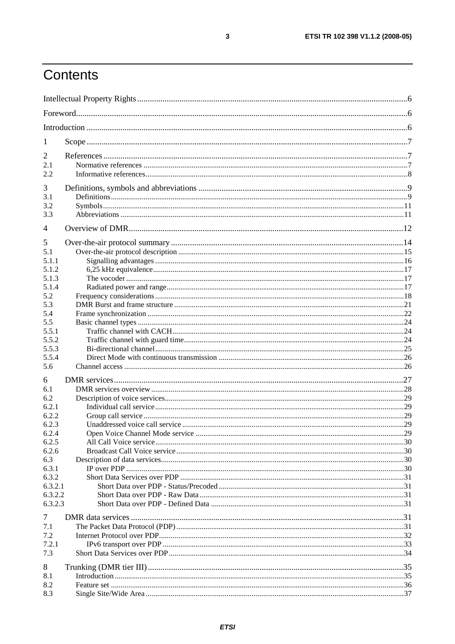## Contents

| 1                  |  |
|--------------------|--|
| $\overline{2}$     |  |
| 2.1                |  |
| 2.2                |  |
| 3                  |  |
| 3.1                |  |
| 3.2                |  |
| 3.3                |  |
| $\overline{4}$     |  |
|                    |  |
| 5                  |  |
| 5.1                |  |
| 5.1.1<br>5.1.2     |  |
| 5.1.3              |  |
| 5.1.4              |  |
| 5.2                |  |
| 5.3                |  |
| 5.4                |  |
| 5.5                |  |
| 5.5.1              |  |
| 5.5.2              |  |
| 5.5.3              |  |
| 5.5.4              |  |
| 5.6                |  |
| 6                  |  |
| 6.1                |  |
| 6.2                |  |
| 6.2.1              |  |
| 6.2.2              |  |
| 6.2.3              |  |
| 6.2.4              |  |
| 6.2.5              |  |
| 6.2.6              |  |
| 6.3                |  |
| 6.3.1              |  |
| 6.3.2              |  |
| 6.3.2.1            |  |
| 6.3.2.2<br>6.3.2.3 |  |
|                    |  |
| 7                  |  |
| 7.1                |  |
| 7.2                |  |
| 7.2.1              |  |
| 7.3                |  |
| 8                  |  |
| 8.1                |  |
| 8.2                |  |
| 8.3                |  |
|                    |  |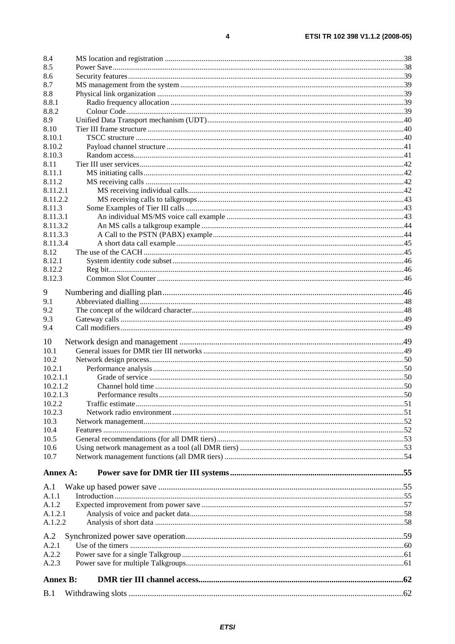| 8.4              |  |
|------------------|--|
| 8.5              |  |
| 8.6              |  |
| 8.7              |  |
| 8.8              |  |
| 8.8.1            |  |
| 8.8.2            |  |
| 8.9              |  |
| 8.10             |  |
| 8.10.1<br>8.10.2 |  |
| 8.10.3           |  |
| 8.11             |  |
| 8.11.1           |  |
| 8.11.2           |  |
| 8.11.2.1         |  |
| 8.11.2.2         |  |
| 8.11.3           |  |
| 8.11.3.1         |  |
| 8.11.3.2         |  |
| 8.11.3.3         |  |
| 8.11.3.4         |  |
| 8.12             |  |
| 8.12.1           |  |
| 8.12.2           |  |
| 8.12.3           |  |
| 9                |  |
| 9.1              |  |
| 9.2              |  |
| 9.3              |  |
| 9.4              |  |
| 10               |  |
| 10.1             |  |
| 10.2             |  |
| 10.2.1           |  |
| 10.2.1.1         |  |
| 10.2.1.2         |  |
| 10.2.1.3         |  |
| 10.2.2           |  |
| 10.2.3           |  |
| 10.3             |  |
| 10.4             |  |
| 10.5             |  |
| 10.6<br>10.7     |  |
|                  |  |
| Annex A:         |  |
| A.1              |  |
| A.1.1            |  |
| A.1.2            |  |
| A.1.2.1          |  |
| A.1.2.2          |  |
|                  |  |
| A.2              |  |
| A.2.1            |  |
| A.2.2            |  |
| A.2.3            |  |
| <b>Annex B:</b>  |  |
|                  |  |
| B.1              |  |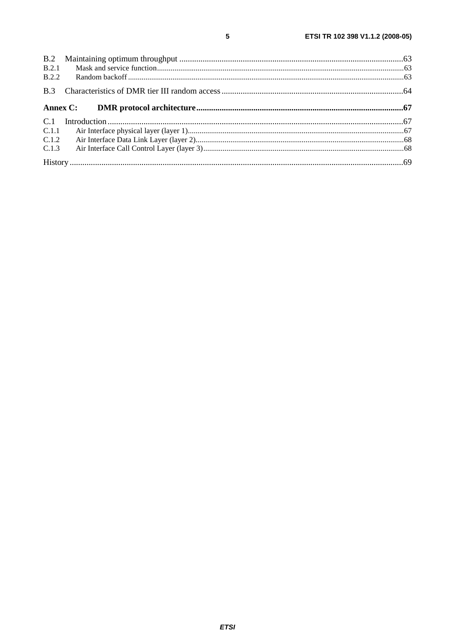| B.2.1<br>B.2.2 |  |
|----------------|--|
| B.3            |  |
|                |  |
|                |  |
|                |  |
| C.1.1          |  |
| C.1.2          |  |
| C.1.3          |  |

 $\overline{\mathbf{5}}$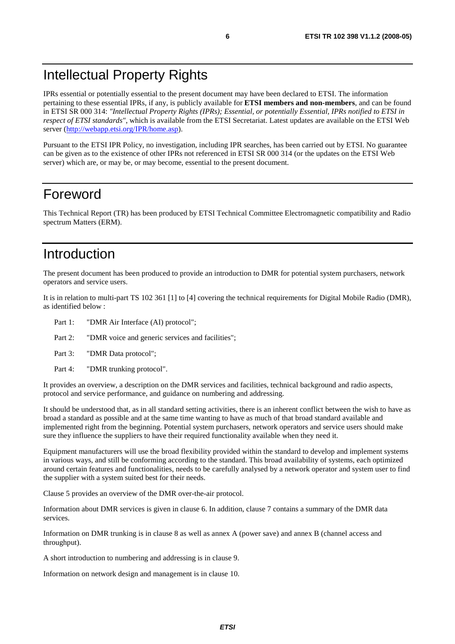## Intellectual Property Rights

IPRs essential or potentially essential to the present document may have been declared to ETSI. The information pertaining to these essential IPRs, if any, is publicly available for **ETSI members and non-members**, and can be found in ETSI SR 000 314: *"Intellectual Property Rights (IPRs); Essential, or potentially Essential, IPRs notified to ETSI in respect of ETSI standards"*, which is available from the ETSI Secretariat. Latest updates are available on the ETSI Web server ([http://webapp.etsi.org/IPR/home.asp\)](http://webapp.etsi.org/IPR/home.asp).

Pursuant to the ETSI IPR Policy, no investigation, including IPR searches, has been carried out by ETSI. No guarantee can be given as to the existence of other IPRs not referenced in ETSI SR 000 314 (or the updates on the ETSI Web server) which are, or may be, or may become, essential to the present document.

### Foreword

This Technical Report (TR) has been produced by ETSI Technical Committee Electromagnetic compatibility and Radio spectrum Matters (ERM).

## Introduction

The present document has been produced to provide an introduction to DMR for potential system purchasers, network operators and service users.

It is in relation to multi-part TS 102 361 [1] to [4] covering the technical requirements for Digital Mobile Radio (DMR), as identified below :

- Part 1: "DMR Air Interface (AI) protocol";
- Part 2: "DMR voice and generic services and facilities";
- Part 3: "DMR Data protocol";
- Part 4: "DMR trunking protocol".

It provides an overview, a description on the DMR services and facilities, technical background and radio aspects, protocol and service performance, and guidance on numbering and addressing.

It should be understood that, as in all standard setting activities, there is an inherent conflict between the wish to have as broad a standard as possible and at the same time wanting to have as much of that broad standard available and implemented right from the beginning. Potential system purchasers, network operators and service users should make sure they influence the suppliers to have their required functionality available when they need it.

Equipment manufacturers will use the broad flexibility provided within the standard to develop and implement systems in various ways, and still be conforming according to the standard. This broad availability of systems, each optimized around certain features and functionalities, needs to be carefully analysed by a network operator and system user to find the supplier with a system suited best for their needs.

Clause 5 provides an overview of the DMR over-the-air protocol.

Information about DMR services is given in clause 6. In addition, clause 7 contains a summary of the DMR data services.

Information on DMR trunking is in clause 8 as well as annex A (power save) and annex B (channel access and throughput).

A short introduction to numbering and addressing is in clause 9.

Information on network design and management is in clause 10.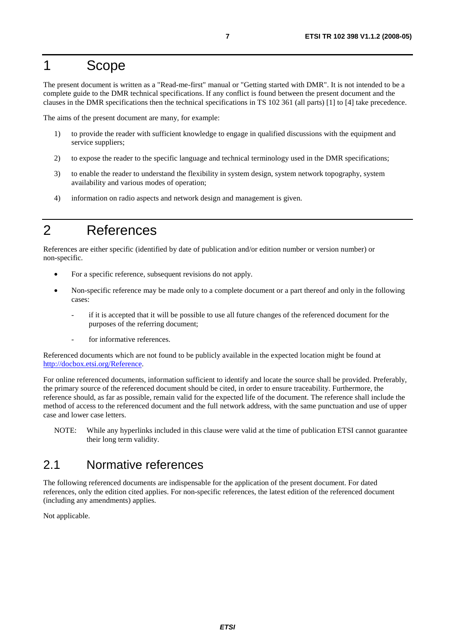## 1 Scope

The present document is written as a "Read-me-first" manual or "Getting started with DMR". It is not intended to be a complete guide to the DMR technical specifications. If any conflict is found between the present document and the clauses in the DMR specifications then the technical specifications in TS 102 361 (all parts) [1] to [4] take precedence.

The aims of the present document are many, for example:

- 1) to provide the reader with sufficient knowledge to engage in qualified discussions with the equipment and service suppliers;
- 2) to expose the reader to the specific language and technical terminology used in the DMR specifications;
- 3) to enable the reader to understand the flexibility in system design, system network topography, system availability and various modes of operation;
- 4) information on radio aspects and network design and management is given.

## 2 References

References are either specific (identified by date of publication and/or edition number or version number) or non-specific.

- For a specific reference, subsequent revisions do not apply.
- Non-specific reference may be made only to a complete document or a part thereof and only in the following cases:
	- if it is accepted that it will be possible to use all future changes of the referenced document for the purposes of the referring document;
	- for informative references.

Referenced documents which are not found to be publicly available in the expected location might be found at <http://docbox.etsi.org/Reference>.

For online referenced documents, information sufficient to identify and locate the source shall be provided. Preferably, the primary source of the referenced document should be cited, in order to ensure traceability. Furthermore, the reference should, as far as possible, remain valid for the expected life of the document. The reference shall include the method of access to the referenced document and the full network address, with the same punctuation and use of upper case and lower case letters.

NOTE: While any hyperlinks included in this clause were valid at the time of publication ETSI cannot guarantee their long term validity.

### 2.1 Normative references

The following referenced documents are indispensable for the application of the present document. For dated references, only the edition cited applies. For non-specific references, the latest edition of the referenced document (including any amendments) applies.

Not applicable.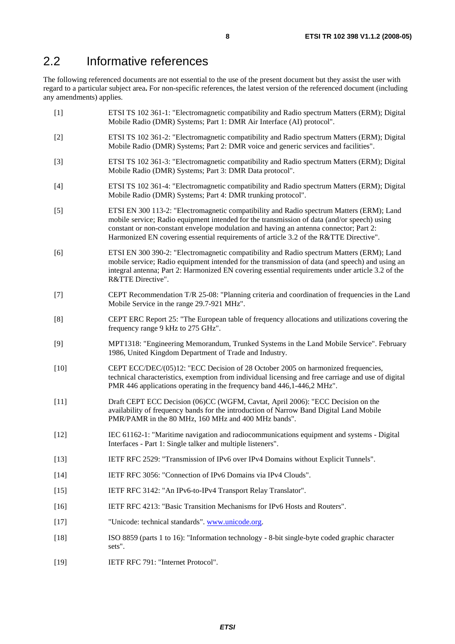## 2.2 Informative references

The following referenced documents are not essential to the use of the present document but they assist the user with regard to a particular subject area**.** For non-specific references, the latest version of the referenced document (including any amendments) applies.

| $[1]$  | ETSI TS 102 361-1: "Electromagnetic compatibility and Radio spectrum Matters (ERM); Digital<br>Mobile Radio (DMR) Systems; Part 1: DMR Air Interface (AI) protocol".                                                                                                                                                                                                      |
|--------|---------------------------------------------------------------------------------------------------------------------------------------------------------------------------------------------------------------------------------------------------------------------------------------------------------------------------------------------------------------------------|
| $[2]$  | ETSI TS 102 361-2: "Electromagnetic compatibility and Radio spectrum Matters (ERM); Digital<br>Mobile Radio (DMR) Systems; Part 2: DMR voice and generic services and facilities".                                                                                                                                                                                        |
| $[3]$  | ETSI TS 102 361-3: "Electromagnetic compatibility and Radio spectrum Matters (ERM); Digital<br>Mobile Radio (DMR) Systems; Part 3: DMR Data protocol".                                                                                                                                                                                                                    |
| $[4]$  | ETSI TS 102 361-4: "Electromagnetic compatibility and Radio spectrum Matters (ERM); Digital<br>Mobile Radio (DMR) Systems; Part 4: DMR trunking protocol".                                                                                                                                                                                                                |
| $[5]$  | ETSI EN 300 113-2: "Electromagnetic compatibility and Radio spectrum Matters (ERM); Land<br>mobile service; Radio equipment intended for the transmission of data (and/or speech) using<br>constant or non-constant envelope modulation and having an antenna connector; Part 2:<br>Harmonized EN covering essential requirements of article 3.2 of the R&TTE Directive". |
| [6]    | ETSI EN 300 390-2: "Electromagnetic compatibility and Radio spectrum Matters (ERM); Land<br>mobile service; Radio equipment intended for the transmission of data (and speech) and using an<br>integral antenna; Part 2: Harmonized EN covering essential requirements under article 3.2 of the<br>R&TTE Directive".                                                      |
| $[7]$  | CEPT Recommendation T/R 25-08: "Planning criteria and coordination of frequencies in the Land<br>Mobile Service in the range 29.7-921 MHz".                                                                                                                                                                                                                               |
| [8]    | CEPT ERC Report 25: "The European table of frequency allocations and utilizations covering the<br>frequency range 9 kHz to 275 GHz".                                                                                                                                                                                                                                      |
| [9]    | MPT1318: "Engineering Memorandum, Trunked Systems in the Land Mobile Service". February<br>1986, United Kingdom Department of Trade and Industry.                                                                                                                                                                                                                         |
| $[10]$ | CEPT ECC/DEC/(05)12: "ECC Decision of 28 October 2005 on harmonized frequencies,<br>technical characteristics, exemption from individual licensing and free carriage and use of digital<br>PMR 446 applications operating in the frequency band 446,1-446,2 MHz".                                                                                                         |
| $[11]$ | Draft CEPT ECC Decision (06)CC (WGFM, Cavtat, April 2006): "ECC Decision on the<br>availability of frequency bands for the introduction of Narrow Band Digital Land Mobile<br>PMR/PAMR in the 80 MHz, 160 MHz and 400 MHz bands".                                                                                                                                         |
| $[12]$ | IEC 61162-1: "Maritime navigation and radiocommunications equipment and systems - Digital<br>Interfaces - Part 1: Single talker and multiple listeners".                                                                                                                                                                                                                  |
| $[13]$ | IETF RFC 2529: "Transmission of IPv6 over IPv4 Domains without Explicit Tunnels".                                                                                                                                                                                                                                                                                         |
| $[14]$ | IETF RFC 3056: "Connection of IPv6 Domains via IPv4 Clouds".                                                                                                                                                                                                                                                                                                              |
| $[15]$ | IETF RFC 3142: "An IPv6-to-IPv4 Transport Relay Translator".                                                                                                                                                                                                                                                                                                              |
| $[16]$ | IETF RFC 4213: "Basic Transition Mechanisms for IPv6 Hosts and Routers".                                                                                                                                                                                                                                                                                                  |
| $[17]$ | "Unicode: technical standards". www.unicode.org.                                                                                                                                                                                                                                                                                                                          |
| $[18]$ | ISO 8859 (parts 1 to 16): "Information technology - 8-bit single-byte coded graphic character<br>sets".                                                                                                                                                                                                                                                                   |
| $[19]$ | IETF RFC 791: "Internet Protocol".                                                                                                                                                                                                                                                                                                                                        |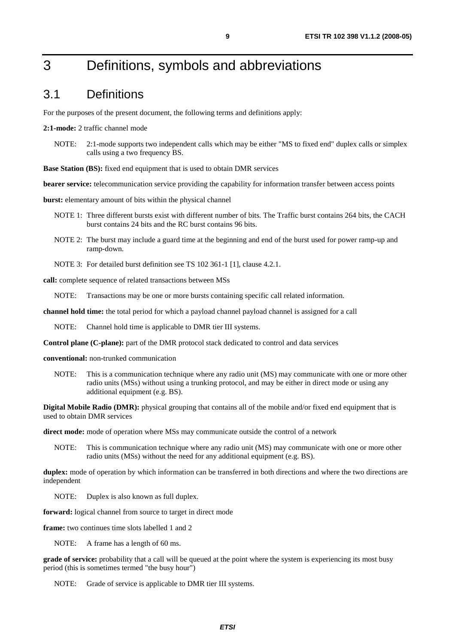## 3 Definitions, symbols and abbreviations

#### 3.1 Definitions

For the purposes of the present document, the following terms and definitions apply:

#### **2:1-mode:** 2 traffic channel mode

NOTE: 2:1-mode supports two independent calls which may be either "MS to fixed end" duplex calls or simplex calls using a two frequency BS.

**Base Station (BS):** fixed end equipment that is used to obtain DMR services

**bearer service:** telecommunication service providing the capability for information transfer between access points

**burst:** elementary amount of bits within the physical channel

- NOTE 1: Three different bursts exist with different number of bits. The Traffic burst contains 264 bits, the CACH burst contains 24 bits and the RC burst contains 96 bits.
- NOTE 2: The burst may include a guard time at the beginning and end of the burst used for power ramp-up and ramp-down.
- NOTE 3: For detailed burst definition see TS 102 361-1 [1], clause 4.2.1.

**call:** complete sequence of related transactions between MSs

NOTE: Transactions may be one or more bursts containing specific call related information.

**channel hold time:** the total period for which a payload channel payload channel is assigned for a call

NOTE: Channel hold time is applicable to DMR tier III systems.

**Control plane (C-plane):** part of the DMR protocol stack dedicated to control and data services

**conventional:** non-trunked communication

NOTE: This is a communication technique where any radio unit (MS) may communicate with one or more other radio units (MSs) without using a trunking protocol, and may be either in direct mode or using any additional equipment (e.g. BS).

**Digital Mobile Radio (DMR):** physical grouping that contains all of the mobile and/or fixed end equipment that is used to obtain DMR services

**direct mode:** mode of operation where MSs may communicate outside the control of a network

NOTE: This is communication technique where any radio unit (MS) may communicate with one or more other radio units (MSs) without the need for any additional equipment (e.g. BS).

**duplex:** mode of operation by which information can be transferred in both directions and where the two directions are independent

NOTE: Duplex is also known as full duplex.

**forward:** logical channel from source to target in direct mode

**frame:** two continues time slots labelled 1 and 2

NOTE: A frame has a length of 60 ms.

**grade of service:** probability that a call will be queued at the point where the system is experiencing its most busy period (this is sometimes termed "the busy hour")

NOTE: Grade of service is applicable to DMR tier III systems.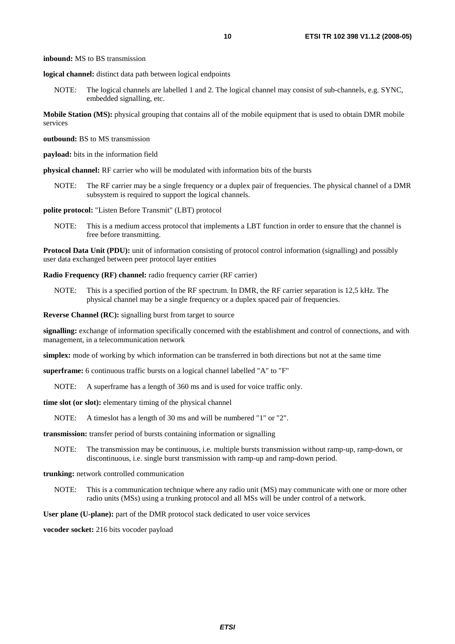**inbound:** MS to BS transmission

**logical channel:** distinct data path between logical endpoints

NOTE: The logical channels are labelled 1 and 2. The logical channel may consist of sub-channels, e.g. SYNC, embedded signalling, etc.

**Mobile Station (MS):** physical grouping that contains all of the mobile equipment that is used to obtain DMR mobile services

**outbound:** BS to MS transmission

**payload:** bits in the information field

**physical channel:** RF carrier who will be modulated with information bits of the bursts

NOTE: The RF carrier may be a single frequency or a duplex pair of frequencies. The physical channel of a DMR subsystem is required to support the logical channels.

**polite protocol:** "Listen Before Transmit" (LBT) protocol

NOTE: This is a medium access protocol that implements a LBT function in order to ensure that the channel is free before transmitting.

**Protocol Data Unit (PDU):** unit of information consisting of protocol control information (signalling) and possibly user data exchanged between peer protocol layer entities

**Radio Frequency (RF) channel:** radio frequency carrier (RF carrier)

NOTE: This is a specified portion of the RF spectrum. In DMR, the RF carrier separation is 12,5 kHz. The physical channel may be a single frequency or a duplex spaced pair of frequencies.

**Reverse Channel (RC):** signalling burst from target to source

**signalling:** exchange of information specifically concerned with the establishment and control of connections, and with management, in a telecommunication network

**simplex:** mode of working by which information can be transferred in both directions but not at the same time

**superframe:** 6 continuous traffic bursts on a logical channel labelled "A" to "F"

NOTE: A superframe has a length of 360 ms and is used for voice traffic only.

**time slot (or slot):** elementary timing of the physical channel

NOTE: A timeslot has a length of 30 ms and will be numbered "1" or "2".

**transmission:** transfer period of bursts containing information or signalling

NOTE: The transmission may be continuous, i.e. multiple bursts transmission without ramp-up, ramp-down, or discontinuous, i.e. single burst transmission with ramp-up and ramp-down period.

#### **trunking:** network controlled communication

NOTE: This is a communication technique where any radio unit (MS) may communicate with one or more other radio units (MSs) using a trunking protocol and all MSs will be under control of a network.

User plane (U-plane): part of the DMR protocol stack dedicated to user voice services

**vocoder socket:** 216 bits vocoder payload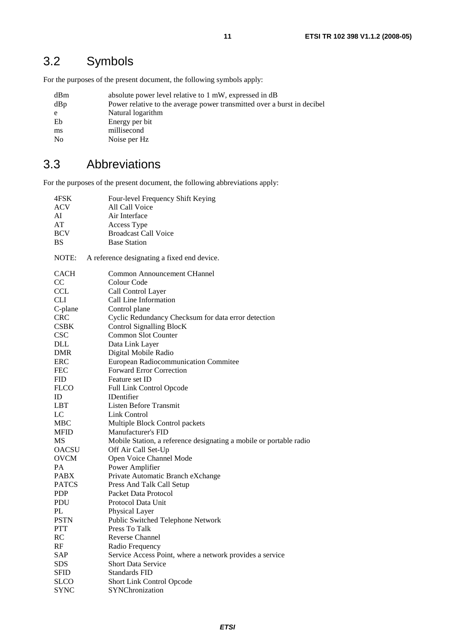## 3.2 Symbols

For the purposes of the present document, the following symbols apply:

| dBm            | absolute power level relative to 1 mW, expressed in dB                  |
|----------------|-------------------------------------------------------------------------|
| dBp            | Power relative to the average power transmitted over a burst in decibel |
| e              | Natural logarithm                                                       |
| Eb             | Energy per bit                                                          |
| ms             | millisecond                                                             |
| N <sub>0</sub> | Noise per Hz                                                            |

### 3.3 Abbreviations

For the purposes of the present document, the following abbreviations apply:

| 4FSK         | Four-level Frequency Shift Keying                                  |
|--------------|--------------------------------------------------------------------|
| <b>ACV</b>   | All Call Voice                                                     |
| AI           | Air Interface                                                      |
| AT           | Access Type                                                        |
| <b>BCV</b>   | <b>Broadcast Call Voice</b>                                        |
| <b>BS</b>    | <b>Base Station</b>                                                |
| NOTE:        | A reference designating a fixed end device.                        |
| CACH         | <b>Common Announcement CHannel</b>                                 |
| CC           | Colour Code                                                        |
| <b>CCL</b>   | Call Control Layer                                                 |
| <b>CLI</b>   | Call Line Information                                              |
| C-plane      | Control plane                                                      |
| <b>CRC</b>   | Cyclic Redundancy Checksum for data error detection                |
| <b>CSBK</b>  | Control Signalling BlocK                                           |
| <b>CSC</b>   | Common Slot Counter                                                |
| DLL          | Data Link Layer                                                    |
| DMR          | Digital Mobile Radio                                               |
| ERC          | European Radiocommunication Commitee                               |
| <b>FEC</b>   | <b>Forward Error Correction</b>                                    |
| <b>FID</b>   | Feature set ID                                                     |
| <b>FLCO</b>  | Full Link Control Opcode                                           |
| ID           | <b>IDentifier</b>                                                  |
| <b>LBT</b>   | Listen Before Transmit                                             |
| LC           | <b>Link Control</b>                                                |
| <b>MBC</b>   | Multiple Block Control packets                                     |
| <b>MFID</b>  | Manufacturer's FID                                                 |
| MS           | Mobile Station, a reference designating a mobile or portable radio |
| <b>OACSU</b> | Off Air Call Set-Up                                                |
| <b>OVCM</b>  | Open Voice Channel Mode                                            |
| PA           | Power Amplifier                                                    |
| <b>PABX</b>  | Private Automatic Branch eXchange                                  |
| <b>PATCS</b> | Press And Talk Call Setup                                          |
| <b>PDP</b>   | Packet Data Protocol                                               |
| PDU          | Protocol Data Unit                                                 |
| PL           | Physical Layer                                                     |
| <b>PSTN</b>  | Public Switched Telephone Network                                  |
| <b>PTT</b>   | Press To Talk                                                      |
| RC           | Reverse Channel                                                    |
| RF           | Radio Frequency                                                    |
| SAP          | Service Access Point, where a network provides a service           |
| <b>SDS</b>   | <b>Short Data Service</b>                                          |
| <b>SFID</b>  | <b>Standards FID</b>                                               |
| <b>SLCO</b>  | Short Link Control Opcode                                          |
| <b>SYNC</b>  | SYNChronization                                                    |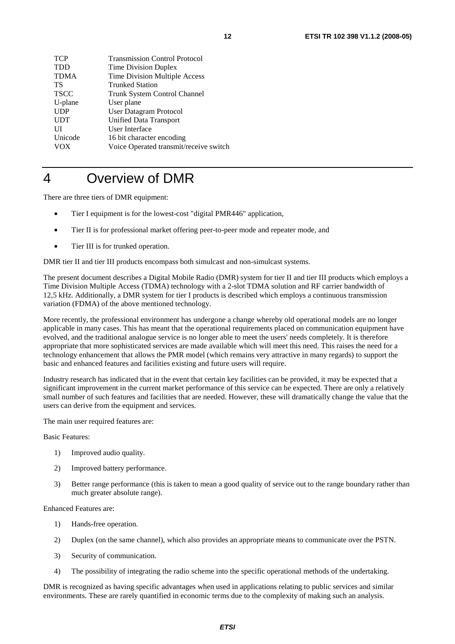| TCP        | <b>Transmission Control Protocol</b>   |
|------------|----------------------------------------|
| TDD        | <b>Time Division Duplex</b>            |
| TDMA       | Time Division Multiple Access          |
| TS         | <b>Trunked Station</b>                 |
| TSCC       | Trunk System Control Channel           |
| U-plane    | User plane                             |
| <b>UDP</b> | User Datagram Protocol                 |
| <b>UDT</b> | Unified Data Transport                 |
| UІ         | User Interface                         |
| Unicode    | 16 bit character encoding              |
| vox        | Voice Operated transmit/receive switch |
|            |                                        |

## 4 Overview of DMR

There are three tiers of DMR equipment:

- Tier I equipment is for the lowest-cost "digital PMR446" application,
- Tier II is for professional market offering peer-to-peer mode and repeater mode, and
- Tier III is for trunked operation.

DMR tier II and tier III products encompass both simulcast and non-simulcast systems.

The present document describes a Digital Mobile Radio (DMR) system for tier II and tier III products which employs a Time Division Multiple Access (TDMA) technology with a 2-slot TDMA solution and RF carrier bandwidth of 12,5 kHz. Additionally, a DMR system for tier I products is described which employs a continuous transmission variation (FDMA) of the above mentioned technology.

More recently, the professional environment has undergone a change whereby old operational models are no longer applicable in many cases. This has meant that the operational requirements placed on communication equipment have evolved, and the traditional analogue service is no longer able to meet the users' needs completely. It is therefore appropriate that more sophisticated services are made available which will meet this need. This raises the need for a technology enhancement that allows the PMR model (which remains very attractive in many regards) to support the basic and enhanced features and facilities existing and future users will require.

Industry research has indicated that in the event that certain key facilities can be provided, it may be expected that a significant improvement in the current market performance of this service can be expected. There are only a relatively small number of such features and facilities that are needed. However, these will dramatically change the value that the users can derive from the equipment and services.

The main user required features are:

Basic Features:

- 1) Improved audio quality.
- 2) Improved battery performance.
- 3) Better range performance (this is taken to mean a good quality of service out to the range boundary rather than much greater absolute range).

Enhanced Features are:

- 1) Hands-free operation.
- 2) Duplex (on the same channel), which also provides an appropriate means to communicate over the PSTN.
- 3) Security of communication.
- 4) The possibility of integrating the radio scheme into the specific operational methods of the undertaking.

DMR is recognized as having specific advantages when used in applications relating to public services and similar environments. These are rarely quantified in economic terms due to the complexity of making such an analysis.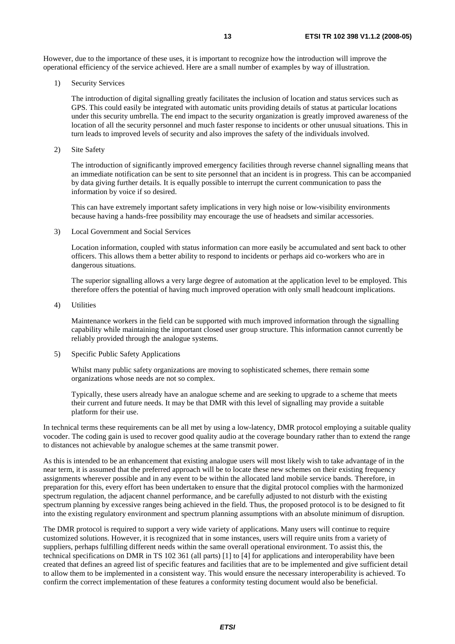However, due to the importance of these uses, it is important to recognize how the introduction will improve the operational efficiency of the service achieved. Here are a small number of examples by way of illustration.

1) Security Services

 The introduction of digital signalling greatly facilitates the inclusion of location and status services such as GPS. This could easily be integrated with automatic units providing details of status at particular locations under this security umbrella. The end impact to the security organization is greatly improved awareness of the location of all the security personnel and much faster response to incidents or other unusual situations. This in turn leads to improved levels of security and also improves the safety of the individuals involved.

2) Site Safety

 The introduction of significantly improved emergency facilities through reverse channel signalling means that an immediate notification can be sent to site personnel that an incident is in progress. This can be accompanied by data giving further details. It is equally possible to interrupt the current communication to pass the information by voice if so desired.

 This can have extremely important safety implications in very high noise or low-visibility environments because having a hands-free possibility may encourage the use of headsets and similar accessories.

3) Local Government and Social Services

 Location information, coupled with status information can more easily be accumulated and sent back to other officers. This allows them a better ability to respond to incidents or perhaps aid co-workers who are in dangerous situations.

 The superior signalling allows a very large degree of automation at the application level to be employed. This therefore offers the potential of having much improved operation with only small headcount implications.

4) Utilities

 Maintenance workers in the field can be supported with much improved information through the signalling capability while maintaining the important closed user group structure. This information cannot currently be reliably provided through the analogue systems.

5) Specific Public Safety Applications

 Whilst many public safety organizations are moving to sophisticated schemes, there remain some organizations whose needs are not so complex.

 Typically, these users already have an analogue scheme and are seeking to upgrade to a scheme that meets their current and future needs. It may be that DMR with this level of signalling may provide a suitable platform for their use.

In technical terms these requirements can be all met by using a low-latency, DMR protocol employing a suitable quality vocoder. The coding gain is used to recover good quality audio at the coverage boundary rather than to extend the range to distances not achievable by analogue schemes at the same transmit power.

As this is intended to be an enhancement that existing analogue users will most likely wish to take advantage of in the near term, it is assumed that the preferred approach will be to locate these new schemes on their existing frequency assignments wherever possible and in any event to be within the allocated land mobile service bands. Therefore, in preparation for this, every effort has been undertaken to ensure that the digital protocol complies with the harmonized spectrum regulation, the adjacent channel performance, and be carefully adjusted to not disturb with the existing spectrum planning by excessive ranges being achieved in the field. Thus, the proposed protocol is to be designed to fit into the existing regulatory environment and spectrum planning assumptions with an absolute minimum of disruption.

The DMR protocol is required to support a very wide variety of applications. Many users will continue to require customized solutions. However, it is recognized that in some instances, users will require units from a variety of suppliers, perhaps fulfilling different needs within the same overall operational environment. To assist this, the technical specifications on DMR in TS 102 361 (all parts) [1] to [4] for applications and interoperability have been created that defines an agreed list of specific features and facilities that are to be implemented and give sufficient detail to allow them to be implemented in a consistent way. This would ensure the necessary interoperability is achieved. To confirm the correct implementation of these features a conformity testing document would also be beneficial.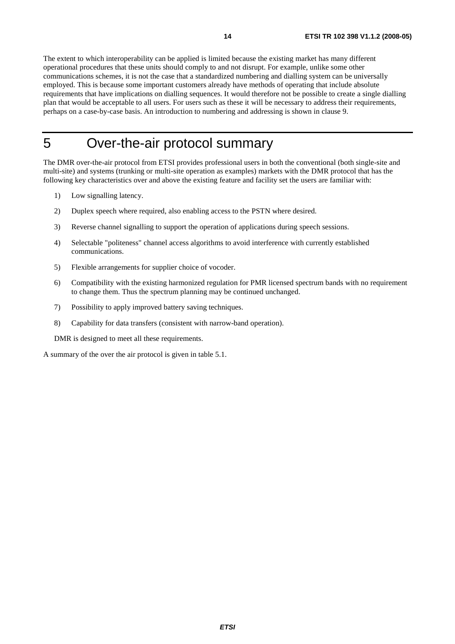The extent to which interoperability can be applied is limited because the existing market has many different operational procedures that these units should comply to and not disrupt. For example, unlike some other communications schemes, it is not the case that a standardized numbering and dialling system can be universally employed. This is because some important customers already have methods of operating that include absolute requirements that have implications on dialling sequences. It would therefore not be possible to create a single dialling plan that would be acceptable to all users. For users such as these it will be necessary to address their requirements, perhaps on a case-by-case basis. An introduction to numbering and addressing is shown in clause 9.

## 5 Over-the-air protocol summary

The DMR over-the-air protocol from ETSI provides professional users in both the conventional (both single-site and multi-site) and systems (trunking or multi-site operation as examples) markets with the DMR protocol that has the following key characteristics over and above the existing feature and facility set the users are familiar with:

- 1) Low signalling latency.
- 2) Duplex speech where required, also enabling access to the PSTN where desired.
- 3) Reverse channel signalling to support the operation of applications during speech sessions.
- 4) Selectable "politeness" channel access algorithms to avoid interference with currently established communications.
- 5) Flexible arrangements for supplier choice of vocoder.
- 6) Compatibility with the existing harmonized regulation for PMR licensed spectrum bands with no requirement to change them. Thus the spectrum planning may be continued unchanged.
- 7) Possibility to apply improved battery saving techniques.
- 8) Capability for data transfers (consistent with narrow-band operation).

DMR is designed to meet all these requirements.

A summary of the over the air protocol is given in table 5.1.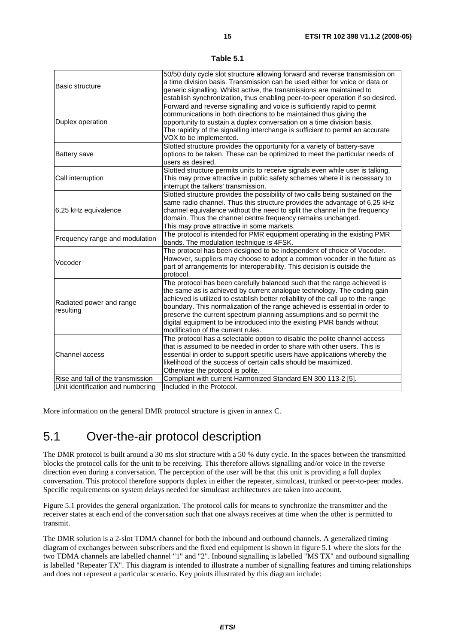| Table 5. |  |
|----------|--|
|----------|--|

|                                   | 50/50 duty cycle slot structure allowing forward and reverse transmission on     |
|-----------------------------------|----------------------------------------------------------------------------------|
| <b>Basic structure</b>            | a time division basis. Transmission can be used either for voice or data or      |
|                                   | generic signalling. Whilst active, the transmissions are maintained to           |
|                                   | establish synchronization, thus enabling peer-to-peer operation if so desired.   |
|                                   | Forward and reverse signalling and voice is sufficiently rapid to permit         |
|                                   | communications in both directions to be maintained thus giving the               |
| Duplex operation                  | opportunity to sustain a duplex conversation on a time division basis.           |
|                                   | The rapidity of the signalling interchange is sufficient to permit an accurate   |
|                                   | VOX to be implemented.                                                           |
|                                   | Slotted structure provides the opportunity for a variety of battery-save         |
| <b>Battery save</b>               | options to be taken. These can be optimized to meet the particular needs of      |
|                                   | users as desired.                                                                |
|                                   | Slotted structure permits units to receive signals even while user is talking.   |
| Call interruption                 | This may prove attractive in public safety schemes where it is necessary to      |
|                                   | interrupt the talkers' transmission.                                             |
|                                   | Slotted structure provides the possibility of two calls being sustained on the   |
|                                   | same radio channel. Thus this structure provides the advantage of 6,25 kHz       |
| 6,25 kHz equivalence              | channel equivalence without the need to split the channel in the frequency       |
|                                   | domain. Thus the channel centre frequency remains unchanged.                     |
|                                   | This may prove attractive in some markets.                                       |
| Frequency range and modulation    | The protocol is intended for PMR equipment operating in the existing PMR         |
|                                   | bands. The modulation technique is 4FSK.                                         |
|                                   | The protocol has been designed to be independent of choice of Vocoder.           |
| Vocoder                           | However, suppliers may choose to adopt a common vocoder in the future as         |
|                                   | part of arrangements for interoperability. This decision is outside the          |
|                                   | protocol.                                                                        |
|                                   | The protocol has been carefully balanced such that the range achieved is         |
|                                   | the same as is achieved by current analogue technology. The coding gain          |
| Radiated power and range          | achieved is utilized to establish better reliability of the call up to the range |
| resulting                         | boundary. This normalization of the range achieved is essential in order to      |
|                                   | preserve the current spectrum planning assumptions and so permit the             |
|                                   | digital equipment to be introduced into the existing PMR bands without           |
|                                   | modification of the current rules.                                               |
|                                   | The protocol has a selectable option to disable the polite channel access        |
|                                   | that is assumed to be needed in order to share with other users. This is         |
| Channel access                    | essential in order to support specific users have applications whereby the       |
|                                   | likelihood of the success of certain calls should be maximized.                  |
|                                   | Otherwise the protocol is polite.                                                |
| Rise and fall of the transmission | Compliant with current Harmonized Standard EN 300 113-2 [5].                     |
| Unit identification and numbering | Included in the Protocol.                                                        |

More information on the general DMR protocol structure is given in annex C.

## 5.1 Over-the-air protocol description

The DMR protocol is built around a 30 ms slot structure with a 50 % duty cycle. In the spaces between the transmitted blocks the protocol calls for the unit to be receiving. This therefore allows signalling and/or voice in the reverse direction even during a conversation. The perception of the user will be that this unit is providing a full duplex conversation. This protocol therefore supports duplex in either the repeater, simulcast, trunked or peer-to-peer modes. Specific requirements on system delays needed for simulcast architectures are taken into account.

Figure 5.1 provides the general organization. The protocol calls for means to synchronize the transmitter and the receiver states at each end of the conversation such that one always receives at time when the other is permitted to transmit.

The DMR solution is a 2-slot TDMA channel for both the inbound and outbound channels. A generalized timing diagram of exchanges between subscribers and the fixed end equipment is shown in figure 5.1 where the slots for the two TDMA channels are labelled channel "1" and "2". Inbound signalling is labelled "MS TX" and outbound signalling is labelled "Repeater TX". This diagram is intended to illustrate a number of signalling features and timing relationships and does not represent a particular scenario. Key points illustrated by this diagram include: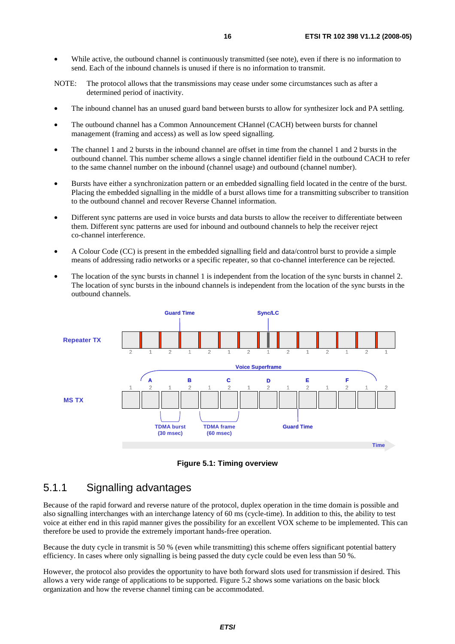- While active, the outbound channel is continuously transmitted (see note), even if there is no information to send. Each of the inbound channels is unused if there is no information to transmit.
- NOTE: The protocol allows that the transmissions may cease under some circumstances such as after a determined period of inactivity.
- The inbound channel has an unused guard band between bursts to allow for synthesizer lock and PA settling.
- The outbound channel has a Common Announcement CHannel (CACH) between bursts for channel management (framing and access) as well as low speed signalling.
- The channel 1 and 2 bursts in the inbound channel are offset in time from the channel 1 and 2 bursts in the outbound channel. This number scheme allows a single channel identifier field in the outbound CACH to refer to the same channel number on the inbound (channel usage) and outbound (channel number).
- Bursts have either a synchronization pattern or an embedded signalling field located in the centre of the burst. Placing the embedded signalling in the middle of a burst allows time for a transmitting subscriber to transition to the outbound channel and recover Reverse Channel information.
- Different sync patterns are used in voice bursts and data bursts to allow the receiver to differentiate between them. Different sync patterns are used for inbound and outbound channels to help the receiver reject co-channel interference.
- A Colour Code (CC) is present in the embedded signalling field and data/control burst to provide a simple means of addressing radio networks or a specific repeater, so that co-channel interference can be rejected.
- The location of the sync bursts in channel 1 is independent from the location of the sync bursts in channel 2. The location of sync bursts in the inbound channels is independent from the location of the sync bursts in the outbound channels.



**Figure 5.1: Timing overview** 

#### 5.1.1 Signalling advantages

Because of the rapid forward and reverse nature of the protocol, duplex operation in the time domain is possible and also signalling interchanges with an interchange latency of 60 ms (cycle-time). In addition to this, the ability to test voice at either end in this rapid manner gives the possibility for an excellent VOX scheme to be implemented. This can therefore be used to provide the extremely important hands-free operation.

Because the duty cycle in transmit is 50 % (even while transmitting) this scheme offers significant potential battery efficiency. In cases where only signalling is being passed the duty cycle could be even less than 50 %.

However, the protocol also provides the opportunity to have both forward slots used for transmission if desired. This allows a very wide range of applications to be supported. Figure 5.2 shows some variations on the basic block organization and how the reverse channel timing can be accommodated.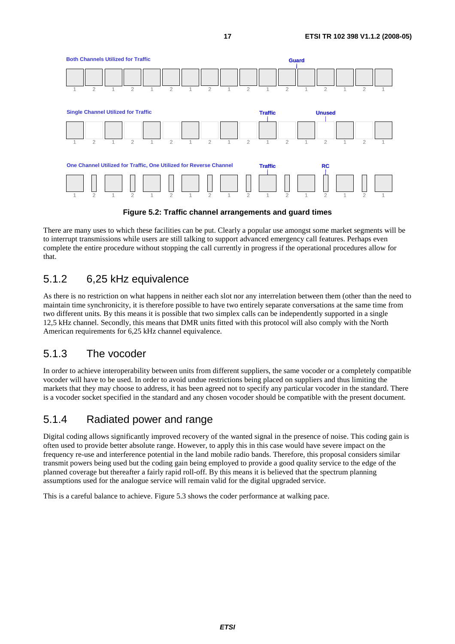

**Figure 5.2: Traffic channel arrangements and guard times** 

There are many uses to which these facilities can be put. Clearly a popular use amongst some market segments will be to interrupt transmissions while users are still talking to support advanced emergency call features. Perhaps even complete the entire procedure without stopping the call currently in progress if the operational procedures allow for that.

### 5.1.2 6,25 kHz equivalence

As there is no restriction on what happens in neither each slot nor any interrelation between them (other than the need to maintain time synchronicity, it is therefore possible to have two entirely separate conversations at the same time from two different units. By this means it is possible that two simplex calls can be independently supported in a single 12,5 kHz channel. Secondly, this means that DMR units fitted with this protocol will also comply with the North American requirements for 6.25 kHz channel equivalence.

### 5.1.3 The vocoder

In order to achieve interoperability between units from different suppliers, the same vocoder or a completely compatible vocoder will have to be used. In order to avoid undue restrictions being placed on suppliers and thus limiting the markets that they may choose to address, it has been agreed not to specify any particular vocoder in the standard. There is a vocoder socket specified in the standard and any chosen vocoder should be compatible with the present document.

### 5.1.4 Radiated power and range

Digital coding allows significantly improved recovery of the wanted signal in the presence of noise. This coding gain is often used to provide better absolute range. However, to apply this in this case would have severe impact on the frequency re-use and interference potential in the land mobile radio bands. Therefore, this proposal considers similar transmit powers being used but the coding gain being employed to provide a good quality service to the edge of the planned coverage but thereafter a fairly rapid roll-off. By this means it is believed that the spectrum planning assumptions used for the analogue service will remain valid for the digital upgraded service.

This is a careful balance to achieve. Figure 5.3 shows the coder performance at walking pace.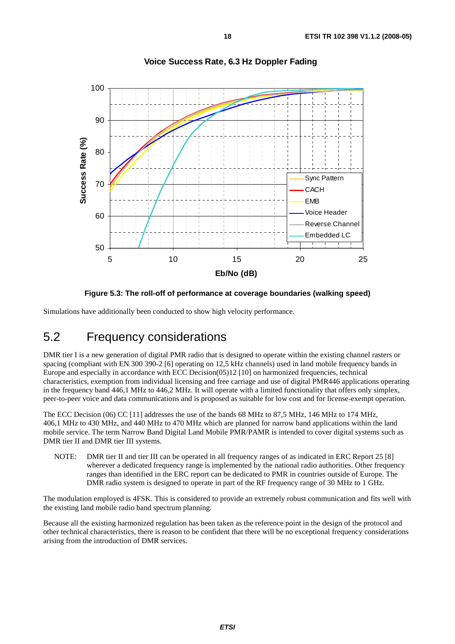

#### **Voice Success Rate, 6.3 Hz Doppler Fading**

**Figure 5.3: The roll-off of performance at coverage boundaries (walking speed)** 

Simulations have additionally been conducted to show high velocity performance.

### 5.2 Frequency considerations

DMR tier I is a new generation of digital PMR radio that is designed to operate within the existing channel rasters or spacing (compliant with EN 300 390-2 [6] operating on 12,5 kHz channels) used in land mobile frequency bands in Europe and especially in accordance with ECC Decision(05)12 [10] on harmonized frequencies, technical characteristics, exemption from individual licensing and free carriage and use of digital PMR446 applications operating in the frequency band 446,1 MHz to 446,2 MHz. It will operate with a limited functionality that offers only simplex, peer-to-peer voice and data communications and is proposed as suitable for low cost and for license-exempt operation.

The ECC Decision (06) CC [11] addresses the use of the bands 68 MHz to 87,5 MHz, 146 MHz to 174 MHz, 406,1 MHz to 430 MHz, and 440 MHz to 470 MHz which are planned for narrow band applications within the land mobile service. The term Narrow Band Digital Land Mobile PMR/PAMR is intended to cover digital systems such as DMR tier II and DMR tier III systems.

NOTE: DMR tier II and tier III can be operated in all frequency ranges of as indicated in ERC Report 25 [8] wherever a dedicated frequency range is implemented by the national radio authorities. Other frequency ranges than identified in the ERC report can be dedicated to PMR in countries outside of Europe. The DMR radio system is designed to operate in part of the RF frequency range of 30 MHz to 1 GHz.

The modulation employed is 4FSK. This is considered to provide an extremely robust communication and fits well with the existing land mobile radio band spectrum planning.

Because all the existing harmonized regulation has been taken as the reference point in the design of the protocol and other technical characteristics, there is reason to be confident that there will be no exceptional frequency considerations arising from the introduction of DMR services.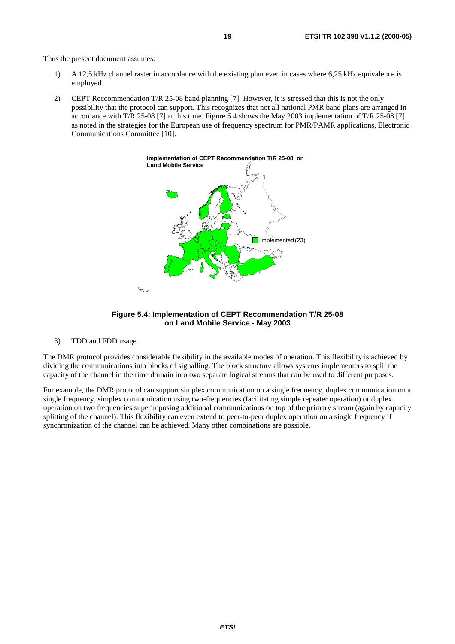Thus the present document assumes:

- 1) A 12,5 kHz channel raster in accordance with the existing plan even in cases where 6,25 kHz equivalence is employed.
- 2) CEPT Reccommendation T/R 25-08 band planning [7]. However, it is stressed that this is not the only possibility that the protocol can support. This recognizes that not all national PMR band plans are arranged in accordance with T/R 25-08 [7] at this time. Figure 5.4 shows the May 2003 implementation of T/R 25-08 [7] as noted in the strategies for the European use of frequency spectrum for PMR/PAMR applications, Electronic Communications Committee [10].





3) TDD and FDD usage.

The DMR protocol provides considerable flexibility in the available modes of operation. This flexibility is achieved by dividing the communications into blocks of signalling. The block structure allows systems implementers to split the capacity of the channel in the time domain into two separate logical streams that can be used to different purposes.

For example, the DMR protocol can support simplex communication on a single frequency, duplex communication on a single frequency, simplex communication using two-frequencies (facilitating simple repeater operation) or duplex operation on two frequencies superimposing additional communications on top of the primary stream (again by capacity splitting of the channel). This flexibility can even extend to peer-to-peer duplex operation on a single frequency if synchronization of the channel can be achieved. Many other combinations are possible.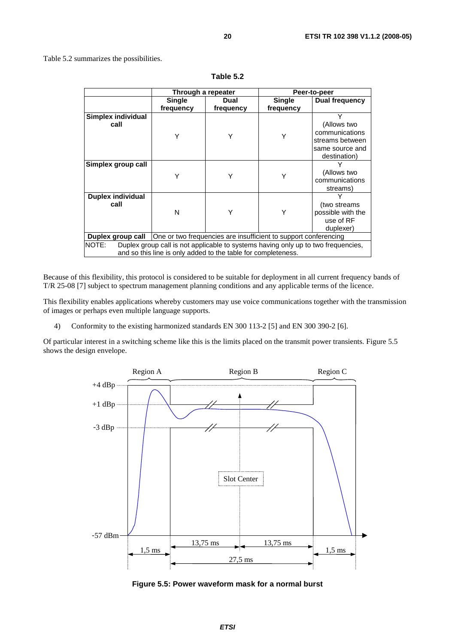Table 5.2 summarizes the possibilities.

|                                                                                                                                                             | Through a repeater                                              |           | Peer-to-peer |                                                                                          |
|-------------------------------------------------------------------------------------------------------------------------------------------------------------|-----------------------------------------------------------------|-----------|--------------|------------------------------------------------------------------------------------------|
|                                                                                                                                                             | <b>Single</b>                                                   | Dual      | Single       | Dual frequency                                                                           |
|                                                                                                                                                             | frequency                                                       | frequency | frequency    |                                                                                          |
| <b>Simplex individual</b><br>call                                                                                                                           | Y                                                               |           | Υ            | Υ<br>(Allows two<br>communications<br>streams between<br>same source and<br>destination) |
| Simplex group call                                                                                                                                          | Υ                                                               | Υ         | Y            | (Allows two<br>communications<br>streams)                                                |
| <b>Duplex individual</b><br>call                                                                                                                            | N                                                               | Υ         | Υ            | (two streams)<br>possible with the<br>use of RF<br>duplexer)                             |
| Duplex group call                                                                                                                                           | One or two frequencies are insufficient to support conferencing |           |              |                                                                                          |
| Duplex group call is not applicable to systems having only up to two frequencies,<br>NOTE:<br>and so this line is only added to the table for completeness. |                                                                 |           |              |                                                                                          |

**Table 5.2** 

Because of this flexibility, this protocol is considered to be suitable for deployment in all current frequency bands of T/R 25-08 [7] subject to spectrum management planning conditions and any applicable terms of the licence.

This flexibility enables applications whereby customers may use voice communications together with the transmission of images or perhaps even multiple language supports.

4) Conformity to the existing harmonized standards EN 300 113-2 [5] and EN 300 390-2 [6].

Of particular interest in a switching scheme like this is the limits placed on the transmit power transients. Figure 5.5 shows the design envelope.



**Figure 5.5: Power waveform mask for a normal burst**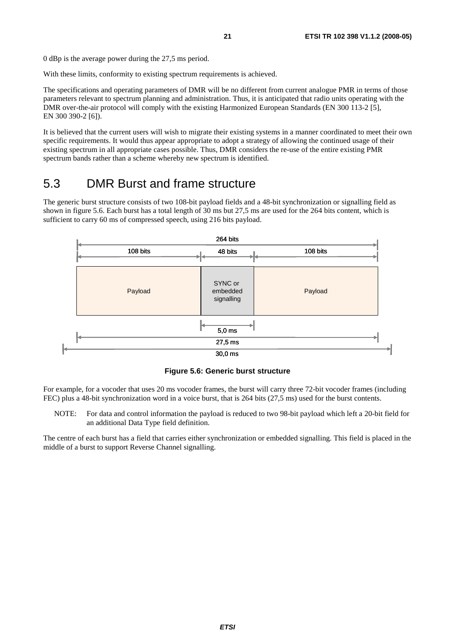0 dBp is the average power during the 27,5 ms period.

With these limits, conformity to existing spectrum requirements is achieved.

The specifications and operating parameters of DMR will be no different from current analogue PMR in terms of those parameters relevant to spectrum planning and administration. Thus, it is anticipated that radio units operating with the DMR over-the-air protocol will comply with the existing Harmonized European Standards (EN 300 113-2 [5], EN 300 390-2 [6]).

It is believed that the current users will wish to migrate their existing systems in a manner coordinated to meet their own specific requirements. It would thus appear appropriate to adopt a strategy of allowing the continued usage of their existing spectrum in all appropriate cases possible. Thus, DMR considers the re-use of the entire existing PMR spectrum bands rather than a scheme whereby new spectrum is identified.

### 5.3 DMR Burst and frame structure

The generic burst structure consists of two 108-bit payload fields and a 48-bit synchronization or signalling field as shown in figure 5.6. Each burst has a total length of 30 ms but 27,5 ms are used for the 264 bits content, which is sufficient to carry 60 ms of compressed speech, using 216 bits payload.



**Figure 5.6: Generic burst structure** 

For example, for a vocoder that uses 20 ms vocoder frames, the burst will carry three 72-bit vocoder frames (including FEC) plus a 48-bit synchronization word in a voice burst, that is 264 bits (27,5 ms) used for the burst contents.

NOTE: For data and control information the payload is reduced to two 98-bit payload which left a 20-bit field for an additional Data Type field definition.

The centre of each burst has a field that carries either synchronization or embedded signalling. This field is placed in the middle of a burst to support Reverse Channel signalling.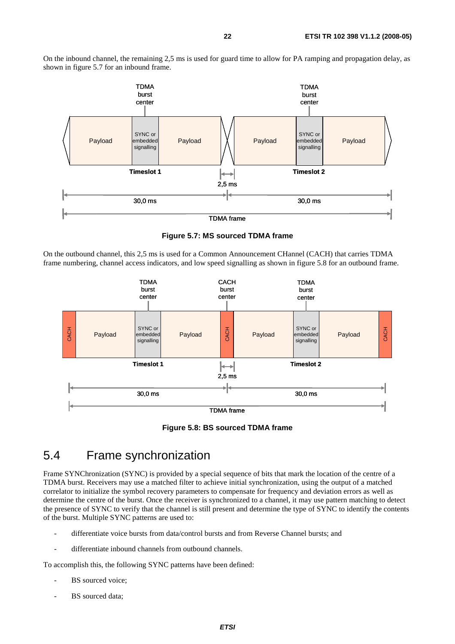On the inbound channel, the remaining 2,5 ms is used for guard time to allow for PA ramping and propagation delay, as shown in figure 5.7 for an inbound frame.



**Figure 5.7: MS sourced TDMA frame** 

On the outbound channel, this 2,5 ms is used for a Common Announcement CHannel (CACH) that carries TDMA frame numbering, channel access indicators, and low speed signalling as shown in figure 5.8 for an outbound frame.





### 5.4 Frame synchronization

Frame SYNChronization (SYNC) is provided by a special sequence of bits that mark the location of the centre of a TDMA burst. Receivers may use a matched filter to achieve initial synchronization, using the output of a matched correlator to initialize the symbol recovery parameters to compensate for frequency and deviation errors as well as determine the centre of the burst. Once the receiver is synchronized to a channel, it may use pattern matching to detect the presence of SYNC to verify that the channel is still present and determine the type of SYNC to identify the contents of the burst. Multiple SYNC patterns are used to:

- differentiate voice bursts from data/control bursts and from Reverse Channel bursts; and
- differentiate inbound channels from outbound channels.

To accomplish this, the following SYNC patterns have been defined:

- BS sourced voice;
- BS sourced data;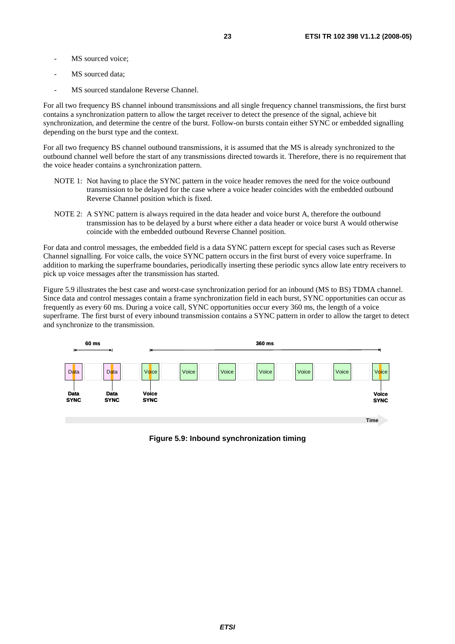- MS sourced voice:
- MS sourced data;
- MS sourced standalone Reverse Channel.

For all two frequency BS channel inbound transmissions and all single frequency channel transmissions, the first burst contains a synchronization pattern to allow the target receiver to detect the presence of the signal, achieve bit synchronization, and determine the centre of the burst. Follow-on bursts contain either SYNC or embedded signalling depending on the burst type and the context.

For all two frequency BS channel outbound transmissions, it is assumed that the MS is already synchronized to the outbound channel well before the start of any transmissions directed towards it. Therefore, there is no requirement that the voice header contains a synchronization pattern.

- NOTE 1: Not having to place the SYNC pattern in the voice header removes the need for the voice outbound transmission to be delayed for the case where a voice header coincides with the embedded outbound Reverse Channel position which is fixed.
- NOTE 2: A SYNC pattern is always required in the data header and voice burst A, therefore the outbound transmission has to be delayed by a burst where either a data header or voice burst A would otherwise coincide with the embedded outbound Reverse Channel position.

For data and control messages, the embedded field is a data SYNC pattern except for special cases such as Reverse Channel signalling. For voice calls, the voice SYNC pattern occurs in the first burst of every voice superframe. In addition to marking the superframe boundaries, periodically inserting these periodic syncs allow late entry receivers to pick up voice messages after the transmission has started.

Figure 5.9 illustrates the best case and worst-case synchronization period for an inbound (MS to BS) TDMA channel. Since data and control messages contain a frame synchronization field in each burst, SYNC opportunities can occur as frequently as every 60 ms. During a voice call, SYNC opportunities occur every 360 ms, the length of a voice superframe. The first burst of every inbound transmission contains a SYNC pattern in order to allow the target to detect and synchronize to the transmission.



**Figure 5.9: Inbound synchronization timing**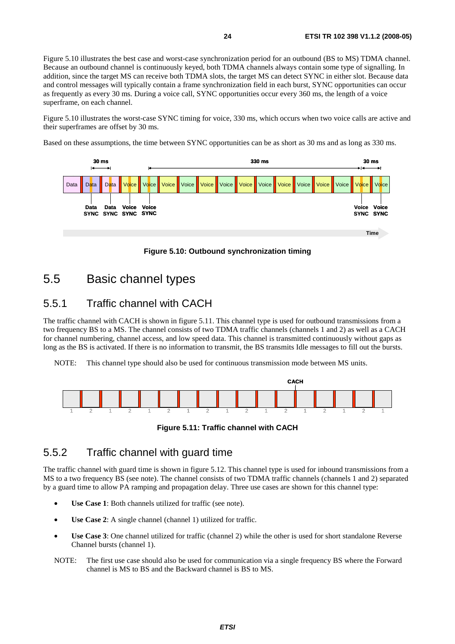Figure 5.10 illustrates the best case and worst-case synchronization period for an outbound (BS to MS) TDMA channel. Because an outbound channel is continuously keyed, both TDMA channels always contain some type of signalling. In addition, since the target MS can receive both TDMA slots, the target MS can detect SYNC in either slot. Because data and control messages will typically contain a frame synchronization field in each burst, SYNC opportunities can occur as frequently as every 30 ms. During a voice call, SYNC opportunities occur every 360 ms, the length of a voice superframe, on each channel.

Figure 5.10 illustrates the worst-case SYNC timing for voice, 330 ms, which occurs when two voice calls are active and their superframes are offset by 30 ms.

Based on these assumptions, the time between SYNC opportunities can be as short as 30 ms and as long as 330 ms.



**Figure 5.10: Outbound synchronization timing** 

### 5.5 Basic channel types

### 5.5.1 Traffic channel with CACH

The traffic channel with CACH is shown in figure 5.11. This channel type is used for outbound transmissions from a two frequency BS to a MS. The channel consists of two TDMA traffic channels (channels 1 and 2) as well as a CACH for channel numbering, channel access, and low speed data. This channel is transmitted continuously without gaps as long as the BS is activated. If there is no information to transmit, the BS transmits Idle messages to fill out the bursts.

NOTE: This channel type should also be used for continuous transmission mode between MS units.



**Figure 5.11: Traffic channel with CACH** 

### 5.5.2 Traffic channel with guard time

The traffic channel with guard time is shown in figure 5.12. This channel type is used for inbound transmissions from a MS to a two frequency BS (see note). The channel consists of two TDMA traffic channels (channels 1 and 2) separated by a guard time to allow PA ramping and propagation delay. Three use cases are shown for this channel type:

- **Use Case 1**: Both channels utilized for traffic (see note).
- **Use Case 2:** A single channel (channel 1) utilized for traffic.
- **Use Case 3**: One channel utilized for traffic (channel 2) while the other is used for short standalone Reverse Channel bursts (channel 1).
- NOTE: The first use case should also be used for communication via a single frequency BS where the Forward channel is MS to BS and the Backward channel is BS to MS.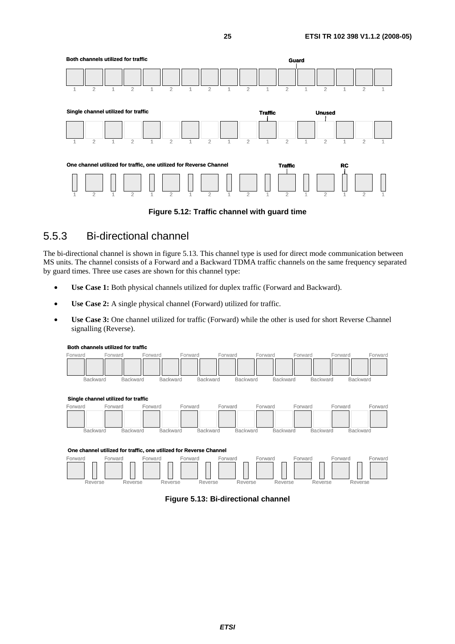

**Figure 5.12: Traffic channel with guard time** 

### 5.5.3 Bi-directional channel

The bi-directional channel is shown in figure 5.13. This channel type is used for direct mode communication between MS units. The channel consists of a Forward and a Backward TDMA traffic channels on the same frequency separated by guard times. Three use cases are shown for this channel type:

- **Use Case 1:** Both physical channels utilized for duplex traffic (Forward and Backward).
- **Use Case 2:** A single physical channel (Forward) utilized for traffic.
- **Use Case 3:** One channel utilized for traffic (Forward) while the other is used for short Reverse Channel signalling (Reverse).



**Both channels utilized for traffic**

**Figure 5.13: Bi-directional channel** 

Reverse Reverse Reverse Reverse Reverse Reverse Reverse Reverse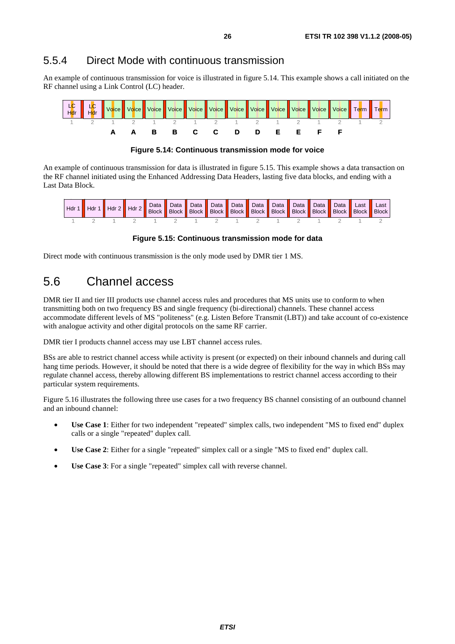#### 5.5.4 Direct Mode with continuous transmission

An example of continuous transmission for voice is illustrated in figure 5.14. This example shows a call initiated on the RF channel using a Link Control (LC) header.



**Figure 5.14: Continuous transmission mode for voice** 

An example of continuous transmission for data is illustrated in figure 5.15. This example shows a data transaction on the RF channel initiated using the Enhanced Addressing Data Headers, lasting five data blocks, and ending with a Last Data Block.



**Figure 5.15: Continuous transmission mode for data** 

Direct mode with continuous transmission is the only mode used by DMR tier 1 MS.

## 5.6 Channel access

DMR tier II and tier III products use channel access rules and procedures that MS units use to conform to when transmitting both on two frequency BS and single frequency (bi-directional) channels. These channel access accommodate different levels of MS "politeness" (e.g. Listen Before Transmit (LBT)) and take account of co-existence with analogue activity and other digital protocols on the same RF carrier.

DMR tier I products channel access may use LBT channel access rules.

BSs are able to restrict channel access while activity is present (or expected) on their inbound channels and during call hang time periods. However, it should be noted that there is a wide degree of flexibility for the way in which BSs may regulate channel access, thereby allowing different BS implementations to restrict channel access according to their particular system requirements.

Figure 5.16 illustrates the following three use cases for a two frequency BS channel consisting of an outbound channel and an inbound channel:

- **Use Case 1**: Either for two independent "repeated" simplex calls, two independent "MS to fixed end" duplex calls or a single "repeated" duplex call.
- **Use Case 2**: Either for a single "repeated" simplex call or a single "MS to fixed end" duplex call.
- Use Case 3: For a single "repeated" simplex call with reverse channel.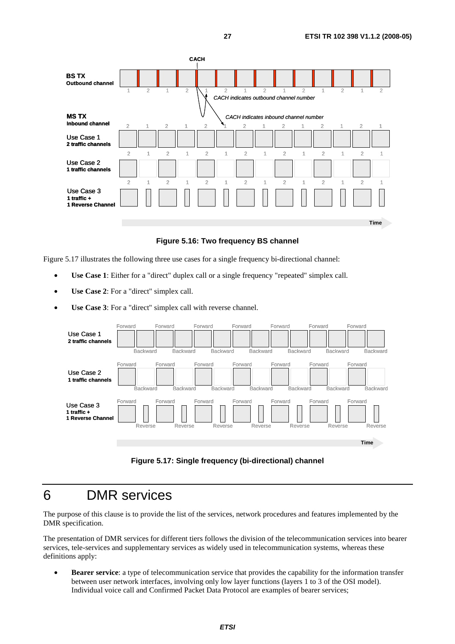

**Figure 5.16: Two frequency BS channel** 

Figure 5.17 illustrates the following three use cases for a single frequency bi-directional channel:

- **Use Case 1**: Either for a "direct" duplex call or a single frequency "repeated" simplex call.
- **Use Case 2**: For a "direct" simplex call.
- **Use Case 3**: For a "direct" simplex call with reverse channel.



**Figure 5.17: Single frequency (bi-directional) channel** 

### 6 DMR services

The purpose of this clause is to provide the list of the services, network procedures and features implemented by the DMR specification.

The presentation of DMR services for different tiers follows the division of the telecommunication services into bearer services, tele-services and supplementary services as widely used in telecommunication systems, whereas these definitions apply:

• **Bearer service**: a type of telecommunication service that provides the capability for the information transfer between user network interfaces, involving only low layer functions (layers 1 to 3 of the OSI model). Individual voice call and Confirmed Packet Data Protocol are examples of bearer services;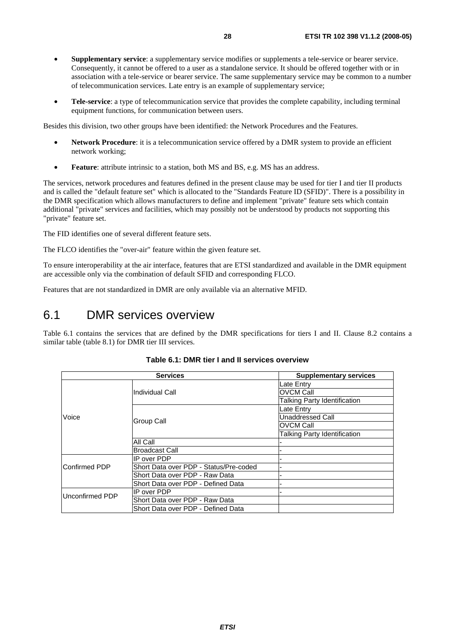- **Supplementary service**: a supplementary service modifies or supplements a tele-service or bearer service. Consequently, it cannot be offered to a user as a standalone service. It should be offered together with or in association with a tele-service or bearer service. The same supplementary service may be common to a number of telecommunication services. Late entry is an example of supplementary service;
- **Tele-service**: a type of telecommunication service that provides the complete capability, including terminal equipment functions, for communication between users.

Besides this division, two other groups have been identified: the Network Procedures and the Features.

- **Network Procedure**: it is a telecommunication service offered by a DMR system to provide an efficient network working;
- **Feature**: attribute intrinsic to a station, both MS and BS, e.g. MS has an address.

The services, network procedures and features defined in the present clause may be used for tier I and tier II products and is called the "default feature set" which is allocated to the "Standards Feature ID (SFID)". There is a possibility in the DMR specification which allows manufacturers to define and implement "private" feature sets which contain additional "private" services and facilities, which may possibly not be understood by products not supporting this "private" feature set.

The FID identifies one of several different feature sets.

The FLCO identifies the "over-air" feature within the given feature set.

To ensure interoperability at the air interface, features that are ETSI standardized and available in the DMR equipment are accessible only via the combination of default SFID and corresponding FLCO.

Features that are not standardized in DMR are only available via an alternative MFID.

### 6.1 DMR services overview

Table 6.1 contains the services that are defined by the DMR specifications for tiers I and II. Clause 8.2 contains a similar table (table 8.1) for DMR tier III services.

| <b>Services</b>       |                                        | <b>Supplementary services</b>       |
|-----------------------|----------------------------------------|-------------------------------------|
|                       |                                        | Late Entry                          |
|                       | Individual Call                        | IOVCM Call                          |
|                       |                                        | <b>Talking Party Identification</b> |
|                       |                                        | Late Entry                          |
| Voice                 | Group Call                             | <b>Unaddressed Call</b>             |
|                       |                                        | IOVCM Call                          |
|                       |                                        | Talking Party Identification        |
|                       | All Call                               |                                     |
|                       | <b>Broadcast Call</b>                  |                                     |
|                       | IP over PDP                            |                                     |
| <b>IConfirmed PDP</b> | Short Data over PDP - Status/Pre-coded |                                     |
|                       | Short Data over PDP - Raw Data         |                                     |
|                       | Short Data over PDP - Defined Data     |                                     |
| Unconfirmed PDP       | IP over PDP                            |                                     |
|                       | Short Data over PDP - Raw Data         |                                     |
|                       | Short Data over PDP - Defined Data     |                                     |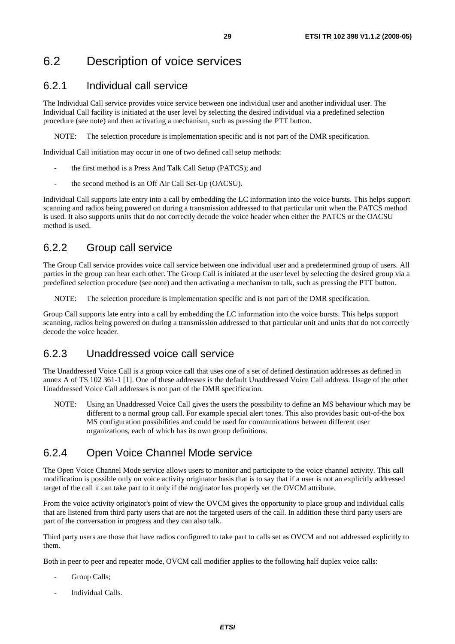## 6.2 Description of voice services

### 6.2.1 Individual call service

The Individual Call service provides voice service between one individual user and another individual user. The Individual Call facility is initiated at the user level by selecting the desired individual via a predefined selection procedure (see note) and then activating a mechanism, such as pressing the PTT button.

NOTE: The selection procedure is implementation specific and is not part of the DMR specification.

Individual Call initiation may occur in one of two defined call setup methods:

- the first method is a Press And Talk Call Setup (PATCS); and
- the second method is an Off Air Call Set-Up (OACSU).

Individual Call supports late entry into a call by embedding the LC information into the voice bursts. This helps support scanning and radios being powered on during a transmission addressed to that particular unit when the PATCS method is used. It also supports units that do not correctly decode the voice header when either the PATCS or the OACSU method is used.

### 6.2.2 Group call service

The Group Call service provides voice call service between one individual user and a predetermined group of users. All parties in the group can hear each other. The Group Call is initiated at the user level by selecting the desired group via a predefined selection procedure (see note) and then activating a mechanism to talk, such as pressing the PTT button.

NOTE: The selection procedure is implementation specific and is not part of the DMR specification.

Group Call supports late entry into a call by embedding the LC information into the voice bursts. This helps support scanning, radios being powered on during a transmission addressed to that particular unit and units that do not correctly decode the voice header.

### 6.2.3 Unaddressed voice call service

The Unaddressed Voice Call is a group voice call that uses one of a set of defined destination addresses as defined in annex A of TS 102 361-1 [1]. One of these addresses is the default Unaddressed Voice Call address. Usage of the other Unaddressed Voice Call addresses is not part of the DMR specification.

NOTE: Using an Unaddressed Voice Call gives the users the possibility to define an MS behaviour which may be different to a normal group call. For example special alert tones. This also provides basic out-of-the box MS configuration possibilities and could be used for communications between different user organizations, each of which has its own group definitions.

### 6.2.4 Open Voice Channel Mode service

The Open Voice Channel Mode service allows users to monitor and participate to the voice channel activity. This call modification is possible only on voice activity originator basis that is to say that if a user is not an explicitly addressed target of the call it can take part to it only if the originator has properly set the OVCM attribute.

From the voice activity originator's point of view the OVCM gives the opportunity to place group and individual calls that are listened from third party users that are not the targeted users of the call. In addition these third party users are part of the conversation in progress and they can also talk.

Third party users are those that have radios configured to take part to calls set as OVCM and not addressed explicitly to them.

Both in peer to peer and repeater mode, OVCM call modifier applies to the following half duplex voice calls:

- Group Calls:
- Individual Calls.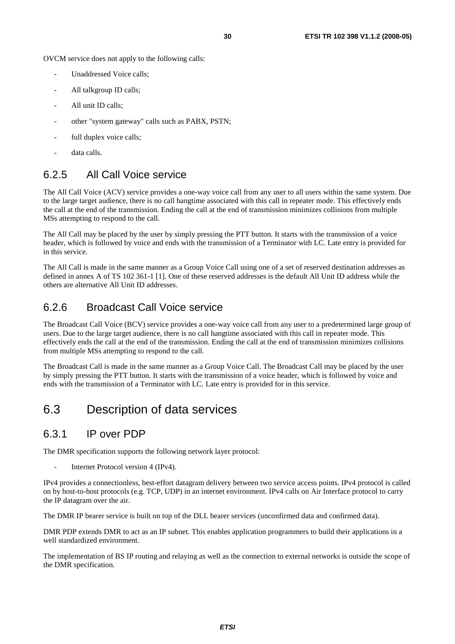OVCM service does not apply to the following calls:

- Unaddressed Voice calls;
- All talkgroup ID calls;
- All unit ID calls:
- other "system gateway" calls such as PABX, PSTN;
- full duplex voice calls;
- data calls.

### 6.2.5 All Call Voice service

The All Call Voice (ACV) service provides a one-way voice call from any user to all users within the same system. Due to the large target audience, there is no call hangtime associated with this call in repeater mode. This effectively ends the call at the end of the transmission. Ending the call at the end of transmission minimizes collisions from multiple MSs attempting to respond to the call.

The All Call may be placed by the user by simply pressing the PTT button. It starts with the transmission of a voice header, which is followed by voice and ends with the transmission of a Terminator with LC. Late entry is provided for in this service.

The All Call is made in the same manner as a Group Voice Call using one of a set of reserved destination addresses as defined in annex A of TS 102 361-1 [1]. One of these reserved addresses is the default All Unit ID address while the others are alternative All Unit ID addresses.

### 6.2.6 Broadcast Call Voice service

The Broadcast Call Voice (BCV) service provides a one-way voice call from any user to a predetermined large group of users. Due to the large target audience, there is no call hangtime associated with this call in repeater mode. This effectively ends the call at the end of the transmission. Ending the call at the end of transmission minimizes collisions from multiple MSs attempting to respond to the call.

The Broadcast Call is made in the same manner as a Group Voice Call. The Broadcast Call may be placed by the user by simply pressing the PTT button. It starts with the transmission of a voice header, which is followed by voice and ends with the transmission of a Terminator with LC. Late entry is provided for in this service.

### 6.3 Description of data services

#### 6.3.1 IP over PDP

The DMR specification supports the following network layer protocol:

Internet Protocol version 4 (IPv4).

IPv4 provides a connectionless, best-effort datagram delivery between two service access points. IPv4 protocol is called on by host-to-host protocols (e.g. TCP, UDP) in an internet environment. IPv4 calls on Air Interface protocol to carry the IP datagram over the air.

The DMR IP bearer service is built on top of the DLL bearer services (unconfirmed data and confirmed data).

DMR PDP extends DMR to act as an IP subnet. This enables application programmers to build their applications in a well standardized environment.

The implementation of BS IP routing and relaying as well as the connection to external networks is outside the scope of the DMR specification.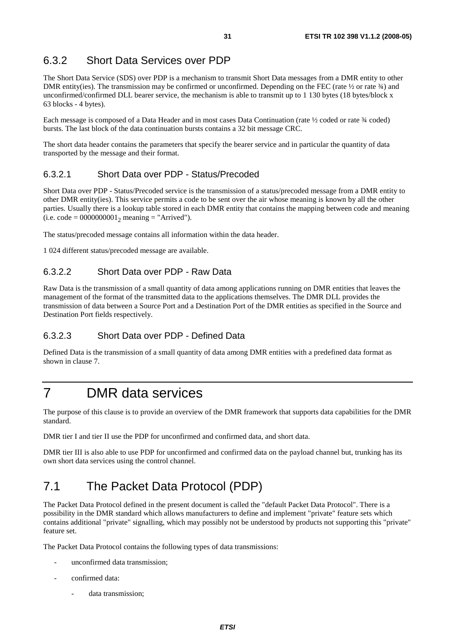### 6.3.2 Short Data Services over PDP

The Short Data Service (SDS) over PDP is a mechanism to transmit Short Data messages from a DMR entity to other DMR entity(ies). The transmission may be confirmed or unconfirmed. Depending on the FEC (rate  $\frac{1}{2}$  or rate  $\frac{3}{4}$ ) and unconfirmed/confirmed DLL bearer service, the mechanism is able to transmit up to 1 130 bytes (18 bytes/block x 63 blocks - 4 bytes).

Each message is composed of a Data Header and in most cases Data Continuation (rate  $\frac{1}{2}$  coded or rate  $\frac{3}{4}$  coded) bursts. The last block of the data continuation bursts contains a 32 bit message CRC.

The short data header contains the parameters that specify the bearer service and in particular the quantity of data transported by the message and their format.

#### 6.3.2.1 Short Data over PDP - Status/Precoded

Short Data over PDP - Status/Precoded service is the transmission of a status/precoded message from a DMR entity to other DMR entity(ies). This service permits a code to be sent over the air whose meaning is known by all the other parties. Usually there is a lookup table stored in each DMR entity that contains the mapping between code and meaning (i.e. code =  $000000001_2$  meaning = "Arrived").

The status/precoded message contains all information within the data header.

1 024 different status/precoded message are available.

#### 6.3.2.2 Short Data over PDP - Raw Data

Raw Data is the transmission of a small quantity of data among applications running on DMR entities that leaves the management of the format of the transmitted data to the applications themselves. The DMR DLL provides the transmission of data between a Source Port and a Destination Port of the DMR entities as specified in the Source and Destination Port fields respectively.

#### 6.3.2.3 Short Data over PDP - Defined Data

Defined Data is the transmission of a small quantity of data among DMR entities with a predefined data format as shown in clause 7.

## 7 DMR data services

The purpose of this clause is to provide an overview of the DMR framework that supports data capabilities for the DMR standard.

DMR tier I and tier II use the PDP for unconfirmed and confirmed data, and short data.

DMR tier III is also able to use PDP for unconfirmed and confirmed data on the payload channel but, trunking has its own short data services using the control channel.

## 7.1 The Packet Data Protocol (PDP)

The Packet Data Protocol defined in the present document is called the "default Packet Data Protocol". There is a possibility in the DMR standard which allows manufacturers to define and implement "private" feature sets which contains additional "private" signalling, which may possibly not be understood by products not supporting this "private" feature set.

The Packet Data Protocol contains the following types of data transmissions:

- unconfirmed data transmission;
- confirmed data:
	- data transmission;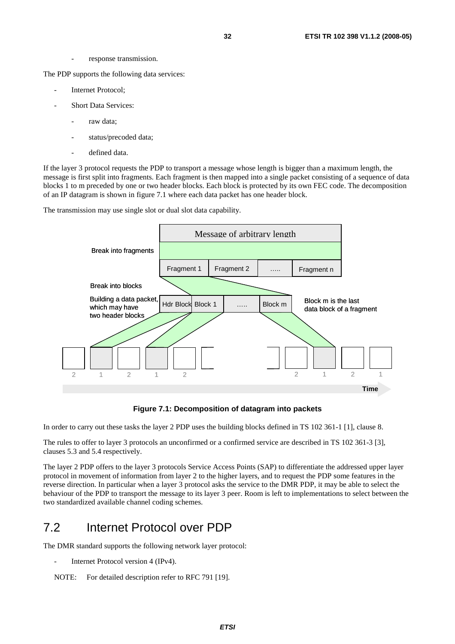response transmission.

The PDP supports the following data services:

- Internet Protocol;
- Short Data Services:
	- raw data;
	- status/precoded data;
	- defined data.

If the layer 3 protocol requests the PDP to transport a message whose length is bigger than a maximum length, the message is first split into fragments. Each fragment is then mapped into a single packet consisting of a sequence of data blocks 1 to m preceded by one or two header blocks. Each block is protected by its own FEC code. The decomposition of an IP datagram is shown in figure 7.1 where each data packet has one header block.

The transmission may use single slot or dual slot data capability.



**Figure 7.1: Decomposition of datagram into packets** 

In order to carry out these tasks the layer 2 PDP uses the building blocks defined in TS 102 361-1 [1], clause 8.

The rules to offer to layer 3 protocols an unconfirmed or a confirmed service are described in TS 102 361-3 [3], clauses 5.3 and 5.4 respectively.

The layer 2 PDP offers to the layer 3 protocols Service Access Points (SAP) to differentiate the addressed upper layer protocol in movement of information from layer 2 to the higher layers, and to request the PDP some features in the reverse direction. In particular when a layer 3 protocol asks the service to the DMR PDP, it may be able to select the behaviour of the PDP to transport the message to its layer 3 peer. Room is left to implementations to select between the two standardized available channel coding schemes.

### 7.2 Internet Protocol over PDP

The DMR standard supports the following network layer protocol:

- Internet Protocol version 4 (IPv4).
- NOTE: For detailed description refer to RFC 791 [19].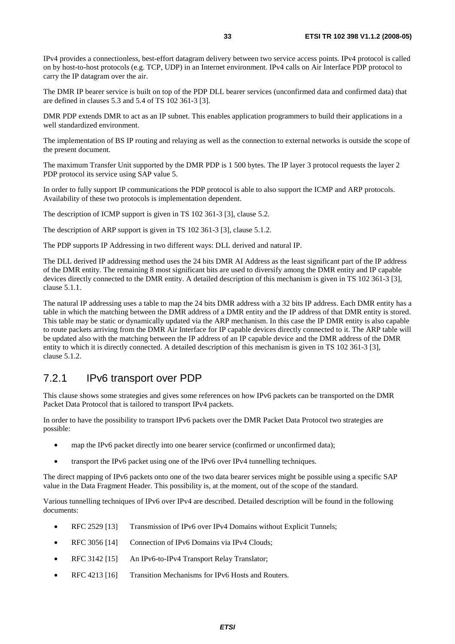IPv4 provides a connectionless, best-effort datagram delivery between two service access points. IPv4 protocol is called on by host-to-host protocols (e.g. TCP, UDP) in an Internet environment. IPv4 calls on Air Interface PDP protocol to carry the IP datagram over the air.

The DMR IP bearer service is built on top of the PDP DLL bearer services (unconfirmed data and confirmed data) that are defined in clauses 5.3 and 5.4 of TS 102 361-3 [3].

DMR PDP extends DMR to act as an IP subnet. This enables application programmers to build their applications in a well standardized environment.

The implementation of BS IP routing and relaying as well as the connection to external networks is outside the scope of the present document.

The maximum Transfer Unit supported by the DMR PDP is 1 500 bytes. The IP layer 3 protocol requests the layer 2 PDP protocol its service using SAP value 5.

In order to fully support IP communications the PDP protocol is able to also support the ICMP and ARP protocols. Availability of these two protocols is implementation dependent.

The description of ICMP support is given in TS 102 361-3 [3], clause 5.2.

The description of ARP support is given in TS 102 361-3 [3], clause 5.1.2.

The PDP supports IP Addressing in two different ways: DLL derived and natural IP.

The DLL derived IP addressing method uses the 24 bits DMR AI Address as the least significant part of the IP address of the DMR entity. The remaining 8 most significant bits are used to diversify among the DMR entity and IP capable devices directly connected to the DMR entity. A detailed description of this mechanism is given in TS 102 361-3 [3], clause 5.1.1.

The natural IP addressing uses a table to map the 24 bits DMR address with a 32 bits IP address. Each DMR entity has a table in which the matching between the DMR address of a DMR entity and the IP address of that DMR entity is stored. This table may be static or dynamically updated via the ARP mechanism. In this case the IP DMR entity is also capable to route packets arriving from the DMR Air Interface for IP capable devices directly connected to it. The ARP table will be updated also with the matching between the IP address of an IP capable device and the DMR address of the DMR entity to which it is directly connected. A detailed description of this mechanism is given in TS 102 361-3 [3], clause 5.1.2.

### 7.2.1 IPv6 transport over PDP

This clause shows some strategies and gives some references on how IPv6 packets can be transported on the DMR Packet Data Protocol that is tailored to transport IPv4 packets.

In order to have the possibility to transport IPv6 packets over the DMR Packet Data Protocol two strategies are possible:

- map the IPv6 packet directly into one bearer service (confirmed or unconfirmed data);
- transport the IPv6 packet using one of the IPv6 over IPv4 tunnelling techniques.

The direct mapping of IPv6 packets onto one of the two data bearer services might be possible using a specific SAP value in the Data Fragment Header. This possibility is, at the moment, out of the scope of the standard.

Various tunnelling techniques of IPv6 over IPv4 are described. Detailed description will be found in the following documents:

- RFC 2529 [13] Transmission of IPv6 over IPv4 Domains without Explicit Tunnels;
- RFC 3056 [14] Connection of IPv6 Domains via IPv4 Clouds;
- RFC 3142 [15] An IPv6-to-IPv4 Transport Relay Translator;
- RFC 4213 [16] Transition Mechanisms for IPv6 Hosts and Routers.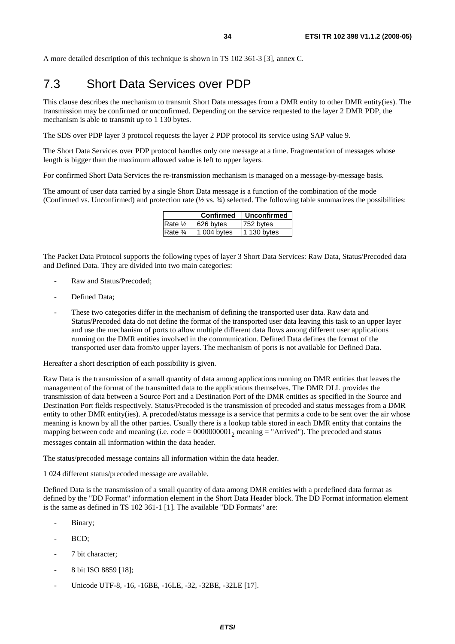A more detailed description of this technique is shown in TS 102 361-3 [3], annex C.

### 7.3 Short Data Services over PDP

This clause describes the mechanism to transmit Short Data messages from a DMR entity to other DMR entity(ies). The transmission may be confirmed or unconfirmed. Depending on the service requested to the layer 2 DMR PDP, the mechanism is able to transmit up to 1 130 bytes.

The SDS over PDP layer 3 protocol requests the layer 2 PDP protocol its service using SAP value 9.

The Short Data Services over PDP protocol handles only one message at a time. Fragmentation of messages whose length is bigger than the maximum allowed value is left to upper layers.

For confirmed Short Data Services the re-transmission mechanism is managed on a message-by-message basis.

The amount of user data carried by a single Short Data message is a function of the combination of the mode (Confirmed vs. Unconfirmed) and protection rate  $(\frac{1}{2} \text{ vs. } \frac{3}{4})$  selected. The following table summarizes the possibilities:

|                                  | Confirmed   | Unconfirmed |
|----------------------------------|-------------|-------------|
| Rate $\frac{1}{2}$               | 626 bytes   | 752 bytes   |
| Rate <sup>3</sup> / <sub>4</sub> | 1 004 bytes | 1 130 bytes |

The Packet Data Protocol supports the following types of layer 3 Short Data Services: Raw Data, Status/Precoded data and Defined Data. They are divided into two main categories:

- Raw and Status/Precoded:
- Defined Data:
- These two categories differ in the mechanism of defining the transported user data. Raw data and Status/Precoded data do not define the format of the transported user data leaving this task to an upper layer and use the mechanism of ports to allow multiple different data flows among different user applications running on the DMR entities involved in the communication. Defined Data defines the format of the transported user data from/to upper layers. The mechanism of ports is not available for Defined Data.

Hereafter a short description of each possibility is given.

Raw Data is the transmission of a small quantity of data among applications running on DMR entities that leaves the management of the format of the transmitted data to the applications themselves. The DMR DLL provides the transmission of data between a Source Port and a Destination Port of the DMR entities as specified in the Source and Destination Port fields respectively. Status/Precoded is the transmission of precoded and status messages from a DMR entity to other DMR entity(ies). A precoded/status message is a service that permits a code to be sent over the air whose meaning is known by all the other parties. Usually there is a lookup table stored in each DMR entity that contains the mapping between code and meaning (i.e. code =  $0000000001$ , meaning = "Arrived"). The precoded and status messages contain all information within the data header.

The status/precoded message contains all information within the data header.

1 024 different status/precoded message are available.

Defined Data is the transmission of a small quantity of data among DMR entities with a predefined data format as defined by the "DD Format" information element in the Short Data Header block. The DD Format information element is the same as defined in TS 102 361-1 [1]. The available "DD Formats" are:

- Binary;
- BCD:
- 7 bit character:
- 8 bit ISO 8859 [18];
- Unicode UTF-8, -16, -16BE, -16LE, -32, -32BE, -32LE [17].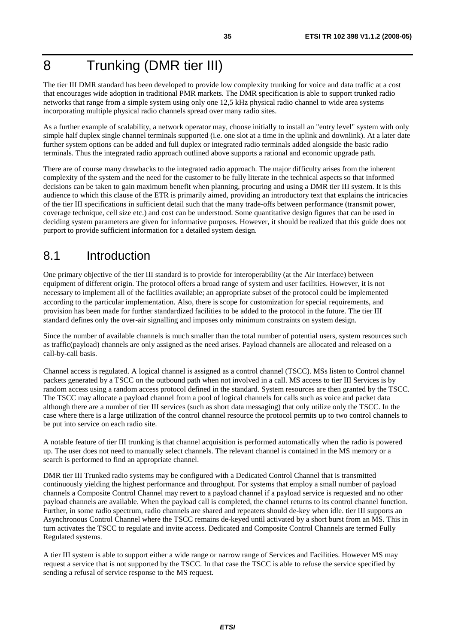## 8 Trunking (DMR tier III)

The tier III DMR standard has been developed to provide low complexity trunking for voice and data traffic at a cost that encourages wide adoption in traditional PMR markets. The DMR specification is able to support trunked radio networks that range from a simple system using only one 12,5 kHz physical radio channel to wide area systems incorporating multiple physical radio channels spread over many radio sites.

As a further example of scalability, a network operator may, choose initially to install an "entry level" system with only simple half duplex single channel terminals supported (i.e. one slot at a time in the uplink and downlink). At a later date further system options can be added and full duplex or integrated radio terminals added alongside the basic radio terminals. Thus the integrated radio approach outlined above supports a rational and economic upgrade path.

There are of course many drawbacks to the integrated radio approach. The major difficulty arises from the inherent complexity of the system and the need for the customer to be fully literate in the technical aspects so that informed decisions can be taken to gain maximum benefit when planning, procuring and using a DMR tier III system. It is this audience to which this clause of the ETR is primarily aimed, providing an introductory text that explains the intricacies of the tier III specifications in sufficient detail such that the many trade-offs between performance (transmit power, coverage technique, cell size etc.) and cost can be understood. Some quantitative design figures that can be used in deciding system parameters are given for informative purposes. However, it should be realized that this guide does not purport to provide sufficient information for a detailed system design.

### 8.1 Introduction

One primary objective of the tier III standard is to provide for interoperability (at the Air Interface) between equipment of different origin. The protocol offers a broad range of system and user facilities. However, it is not necessary to implement all of the facilities available; an appropriate subset of the protocol could be implemented according to the particular implementation. Also, there is scope for customization for special requirements, and provision has been made for further standardized facilities to be added to the protocol in the future. The tier III standard defines only the over-air signalling and imposes only minimum constraints on system design.

Since the number of available channels is much smaller than the total number of potential users, system resources such as traffic(payload) channels are only assigned as the need arises. Payload channels are allocated and released on a call-by-call basis.

Channel access is regulated. A logical channel is assigned as a control channel (TSCC). MSs listen to Control channel packets generated by a TSCC on the outbound path when not involved in a call. MS access to tier III Services is by random access using a random access protocol defined in the standard. System resources are then granted by the TSCC. The TSCC may allocate a payload channel from a pool of logical channels for calls such as voice and packet data although there are a number of tier III services (such as short data messaging) that only utilize only the TSCC. In the case where there is a large utilization of the control channel resource the protocol permits up to two control channels to be put into service on each radio site.

A notable feature of tier III trunking is that channel acquisition is performed automatically when the radio is powered up. The user does not need to manually select channels. The relevant channel is contained in the MS memory or a search is performed to find an appropriate channel.

DMR tier III Trunked radio systems may be configured with a Dedicated Control Channel that is transmitted continuously yielding the highest performance and throughput. For systems that employ a small number of payload channels a Composite Control Channel may revert to a payload channel if a payload service is requested and no other payload channels are available. When the payload call is completed, the channel returns to its control channel function. Further, in some radio spectrum, radio channels are shared and repeaters should de-key when idle. tier III supports an Asynchronous Control Channel where the TSCC remains de-keyed until activated by a short burst from an MS. This in turn activates the TSCC to regulate and invite access. Dedicated and Composite Control Channels are termed Fully Regulated systems.

A tier III system is able to support either a wide range or narrow range of Services and Facilities. However MS may request a service that is not supported by the TSCC. In that case the TSCC is able to refuse the service specified by sending a refusal of service response to the MS request.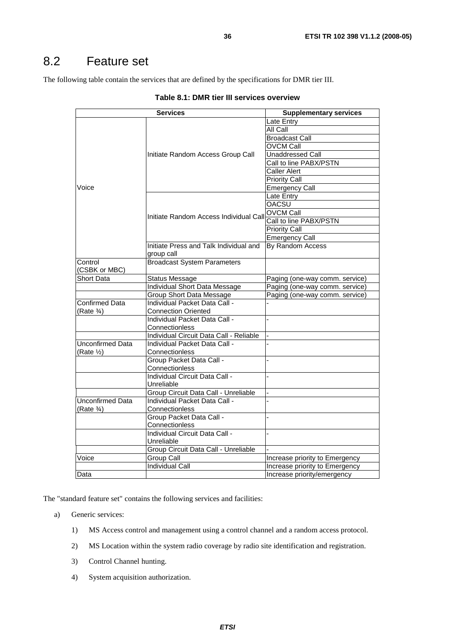### 8.2 Feature set

The following table contain the services that are defined by the specifications for DMR tier III.

|                         | <b>Services</b>                         | <b>Supplementary services</b>  |
|-------------------------|-----------------------------------------|--------------------------------|
|                         |                                         | Late Entry                     |
|                         |                                         | <b>All Call</b>                |
|                         |                                         | <b>Broadcast Call</b>          |
|                         |                                         | <b>OVCM Call</b>               |
|                         | Initiate Random Access Group Call       | <b>Unaddressed Call</b>        |
|                         |                                         | Call to line PABX/PSTN         |
|                         |                                         | <b>Caller Alert</b>            |
|                         |                                         | <b>Priority Call</b>           |
| Voice                   |                                         | <b>Emergency Call</b>          |
|                         |                                         | Late Entry                     |
|                         |                                         | <b>OACSU</b>                   |
|                         |                                         | <b>OVCM Call</b>               |
|                         | Initiate Random Access Individual Call  | Call to line PABX/PSTN         |
|                         |                                         | <b>Priority Call</b>           |
|                         |                                         | <b>Emergency Call</b>          |
|                         | Initiate Press and Talk Individual and  | By Random Access               |
|                         | group call                              |                                |
| Control                 | <b>Broadcast System Parameters</b>      |                                |
| (CSBK or MBC)           |                                         |                                |
| Short Data              | <b>Status Message</b>                   | Paging (one-way comm. service) |
|                         | Individual Short Data Message           | Paging (one-way comm. service) |
|                         | Group Short Data Message                | Paging (one-way comm. service) |
| <b>Confirmed Data</b>   | Individual Packet Data Call -           |                                |
| (Rate $\frac{3}{4}$ )   | <b>Connection Oriented</b>              |                                |
|                         | Individual Packet Data Call -           |                                |
|                         | Connectionless                          |                                |
|                         | Individual Circuit Data Call - Reliable |                                |
| <b>Unconfirmed Data</b> | Individual Packet Data Call -           |                                |
| $(Rate \frac{1}{2})$    | Connectionless                          |                                |
|                         | Group Packet Data Call -                |                                |
|                         | Connectionless                          |                                |
|                         | Individual Circuit Data Call -          |                                |
|                         | Unreliable                              |                                |
|                         | Group Circuit Data Call - Unreliable    |                                |
| Unconfirmed Data        | Individual Packet Data Call -           |                                |
| (Rate $\frac{3}{4}$ )   | Connectionless                          |                                |
|                         | Group Packet Data Call -                |                                |
|                         | Connectionless                          |                                |
|                         | Individual Circuit Data Call -          |                                |
|                         | Unreliable                              |                                |
|                         | Group Circuit Data Call - Unreliable    |                                |
| Voice                   | Group Call                              | Increase priority to Emergency |
|                         | <b>Individual Call</b>                  | Increase priority to Emergency |
| Data                    |                                         | Increase priority/emergency    |

The "standard feature set" contains the following services and facilities:

- a) Generic services:
	- 1) MS Access control and management using a control channel and a random access protocol.
	- 2) MS Location within the system radio coverage by radio site identification and registration.
	- 3) Control Channel hunting.
	- 4) System acquisition authorization.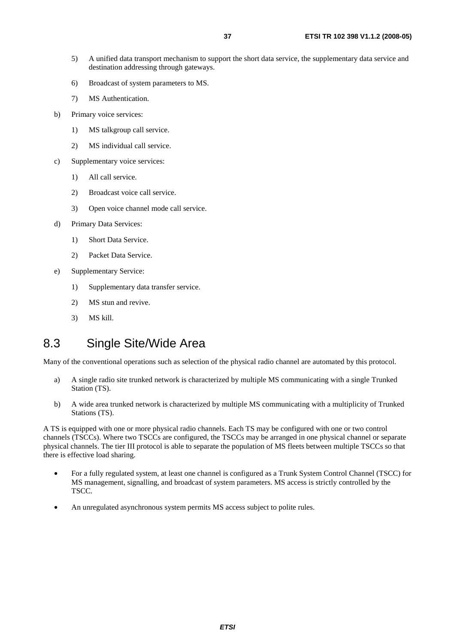- 5) A unified data transport mechanism to support the short data service, the supplementary data service and destination addressing through gateways.
- 6) Broadcast of system parameters to MS.
- 7) MS Authentication.
- b) Primary voice services:
	- 1) MS talkgroup call service.
	- 2) MS individual call service.
- c) Supplementary voice services:
	- 1) All call service.
	- 2) Broadcast voice call service.
	- 3) Open voice channel mode call service.
- d) Primary Data Services:
	- 1) Short Data Service.
	- 2) Packet Data Service.
- e) Supplementary Service:
	- 1) Supplementary data transfer service.
	- 2) MS stun and revive.
	- 3) MS kill.

## 8.3 Single Site/Wide Area

Many of the conventional operations such as selection of the physical radio channel are automated by this protocol.

- a) A single radio site trunked network is characterized by multiple MS communicating with a single Trunked Station (TS).
- b) A wide area trunked network is characterized by multiple MS communicating with a multiplicity of Trunked Stations (TS).

A TS is equipped with one or more physical radio channels. Each TS may be configured with one or two control channels (TSCCs). Where two TSCCs are configured, the TSCCs may be arranged in one physical channel or separate physical channels. The tier III protocol is able to separate the population of MS fleets between multiple TSCCs so that there is effective load sharing.

- For a fully regulated system, at least one channel is configured as a Trunk System Control Channel (TSCC) for MS management, signalling, and broadcast of system parameters. MS access is strictly controlled by the TSCC.
- An unregulated asynchronous system permits MS access subject to polite rules.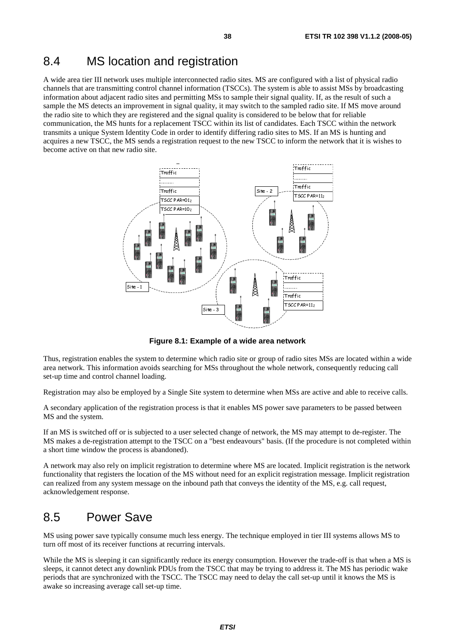### 8.4 MS location and registration

A wide area tier III network uses multiple interconnected radio sites. MS are configured with a list of physical radio channels that are transmitting control channel information (TSCCs). The system is able to assist MSs by broadcasting information about adjacent radio sites and permitting MSs to sample their signal quality. If, as the result of such a sample the MS detects an improvement in signal quality, it may switch to the sampled radio site. If MS move around the radio site to which they are registered and the signal quality is considered to be below that for reliable communication, the MS hunts for a replacement TSCC within its list of candidates. Each TSCC within the network transmits a unique System Identity Code in order to identify differing radio sites to MS. If an MS is hunting and acquires a new TSCC, the MS sends a registration request to the new TSCC to inform the network that it is wishes to become active on that new radio site.



**Figure 8.1: Example of a wide area network** 

Thus, registration enables the system to determine which radio site or group of radio sites MSs are located within a wide area network. This information avoids searching for MSs throughout the whole network, consequently reducing call set-up time and control channel loading.

Registration may also be employed by a Single Site system to determine when MSs are active and able to receive calls.

A secondary application of the registration process is that it enables MS power save parameters to be passed between MS and the system.

If an MS is switched off or is subjected to a user selected change of network, the MS may attempt to de-register. The MS makes a de-registration attempt to the TSCC on a "best endeavours" basis. (If the procedure is not completed within a short time window the process is abandoned).

A network may also rely on implicit registration to determine where MS are located. Implicit registration is the network functionality that registers the location of the MS without need for an explicit registration message. Implicit registration can realized from any system message on the inbound path that conveys the identity of the MS, e.g. call request, acknowledgement response.

### 8.5 Power Save

MS using power save typically consume much less energy. The technique employed in tier III systems allows MS to turn off most of its receiver functions at recurring intervals.

While the MS is sleeping it can significantly reduce its energy consumption. However the trade-off is that when a MS is sleeps, it cannot detect any downlink PDUs from the TSCC that may be trying to address it. The MS has periodic wake periods that are synchronized with the TSCC. The TSCC may need to delay the call set-up until it knows the MS is awake so increasing average call set-up time.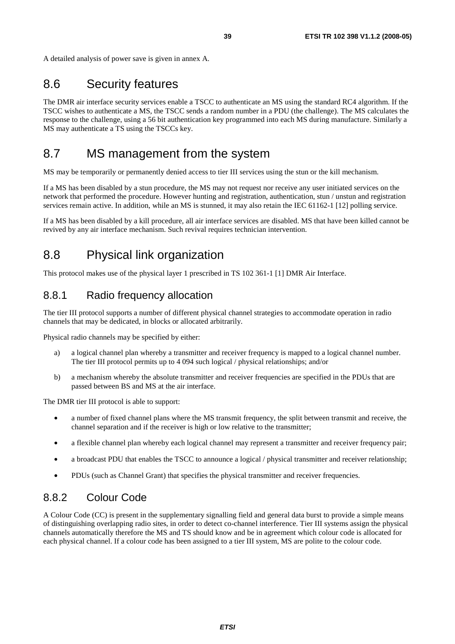A detailed analysis of power save is given in annex A.

### 8.6 Security features

The DMR air interface security services enable a TSCC to authenticate an MS using the standard RC4 algorithm. If the TSCC wishes to authenticate a MS, the TSCC sends a random number in a PDU (the challenge). The MS calculates the response to the challenge, using a 56 bit authentication key programmed into each MS during manufacture. Similarly a MS may authenticate a TS using the TSCCs key.

### 8.7 MS management from the system

MS may be temporarily or permanently denied access to tier III services using the stun or the kill mechanism.

If a MS has been disabled by a stun procedure, the MS may not request nor receive any user initiated services on the network that performed the procedure. However hunting and registration, authentication, stun / unstun and registration services remain active. In addition, while an MS is stunned, it may also retain the IEC 61162-1 [12] polling service.

If a MS has been disabled by a kill procedure, all air interface services are disabled. MS that have been killed cannot be revived by any air interface mechanism. Such revival requires technician intervention.

### 8.8 Physical link organization

This protocol makes use of the physical layer 1 prescribed in TS 102 361-1 [1] DMR Air Interface.

#### 8.8.1 Radio frequency allocation

The tier III protocol supports a number of different physical channel strategies to accommodate operation in radio channels that may be dedicated, in blocks or allocated arbitrarily.

Physical radio channels may be specified by either:

- a) a logical channel plan whereby a transmitter and receiver frequency is mapped to a logical channel number. The tier III protocol permits up to 4 094 such logical / physical relationships; and/or
- b) a mechanism whereby the absolute transmitter and receiver frequencies are specified in the PDUs that are passed between BS and MS at the air interface.

The DMR tier III protocol is able to support:

- a number of fixed channel plans where the MS transmit frequency, the split between transmit and receive, the channel separation and if the receiver is high or low relative to the transmitter;
- a flexible channel plan whereby each logical channel may represent a transmitter and receiver frequency pair;
- a broadcast PDU that enables the TSCC to announce a logical / physical transmitter and receiver relationship;
- PDUs (such as Channel Grant) that specifies the physical transmitter and receiver frequencies.

#### 8.8.2 Colour Code

A Colour Code (CC) is present in the supplementary signalling field and general data burst to provide a simple means of distinguishing overlapping radio sites, in order to detect co-channel interference. Tier III systems assign the physical channels automatically therefore the MS and TS should know and be in agreement which colour code is allocated for each physical channel. If a colour code has been assigned to a tier III system, MS are polite to the colour code.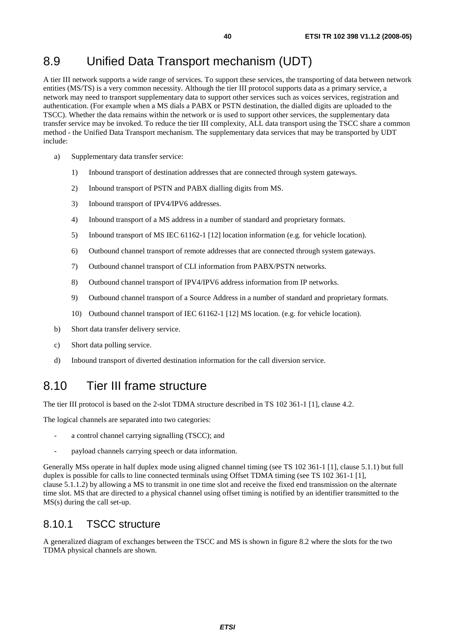### 8.9 Unified Data Transport mechanism (UDT)

A tier III network supports a wide range of services. To support these services, the transporting of data between network entities (MS/TS) is a very common necessity. Although the tier III protocol supports data as a primary service, a network may need to transport supplementary data to support other services such as voices services, registration and authentication. (For example when a MS dials a PABX or PSTN destination, the dialled digits are uploaded to the TSCC). Whether the data remains within the network or is used to support other services, the supplementary data transfer service may be invoked. To reduce the tier III complexity, ALL data transport using the TSCC share a common method - the Unified Data Transport mechanism. The supplementary data services that may be transported by UDT include:

- a) Supplementary data transfer service:
	- 1) Inbound transport of destination addresses that are connected through system gateways.
	- 2) Inbound transport of PSTN and PABX dialling digits from MS.
	- 3) Inbound transport of IPV4/IPV6 addresses.
	- 4) Inbound transport of a MS address in a number of standard and proprietary formats.
	- 5) Inbound transport of MS IEC 61162-1 [12] location information (e.g. for vehicle location).
	- 6) Outbound channel transport of remote addresses that are connected through system gateways.
	- 7) Outbound channel transport of CLI information from PABX/PSTN networks.
	- 8) Outbound channel transport of IPV4/IPV6 address information from IP networks.
	- 9) Outbound channel transport of a Source Address in a number of standard and proprietary formats.
	- 10) Outbound channel transport of IEC 61162-1 [12] MS location. (e.g. for vehicle location).
- b) Short data transfer delivery service.
- c) Short data polling service.
- d) Inbound transport of diverted destination information for the call diversion service.

### 8.10 Tier III frame structure

The tier III protocol is based on the 2-slot TDMA structure described in TS 102 361-1 [1], clause 4.2.

The logical channels are separated into two categories:

- a control channel carrying signalling (TSCC); and
- payload channels carrying speech or data information.

Generally MSs operate in half duplex mode using aligned channel timing (see TS 102 361-1 [1], clause 5.1.1) but full duplex is possible for calls to line connected terminals using Offset TDMA timing (see TS 102 361-1 [1], clause 5.1.1.2) by allowing a MS to transmit in one time slot and receive the fixed end transmission on the alternate time slot. MS that are directed to a physical channel using offset timing is notified by an identifier transmitted to the MS(s) during the call set-up.

#### 8.10.1 TSCC structure

A generalized diagram of exchanges between the TSCC and MS is shown in figure 8.2 where the slots for the two TDMA physical channels are shown.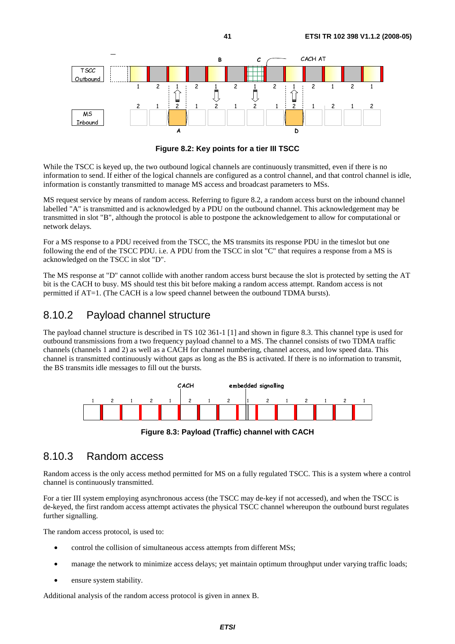

**Figure 8.2: Key points for a tier III TSCC** 

ISCC is<br>n to sen While the TSCC is keyed up, the two outbound logical channels are continuously transmitted, even if there is no information to send. If either of the logical channels are configured as a control channel, and that control channel is idle, information is constantly transmitted to manage MS access and broadcast parameters to MSs.

A<br>A<br>a<br>a<br>a<br>a<br>a<br>a<br>a<br>a<br>a<br>a<br>a<br>a<br> C traiel and MS request service by means of random access. Referring to figure 8.2, a random access burst on the inbound channel labelled "A" is transmitted and is acknowledged by a PDU on the outbound channel. This acknowledgement may be transmitted in slot "B", although the protocol is able to postpone the acknowledgement to allow for computational or network delays.

For a MS response to a PDU received from the TSCC, the MS transmits its response PDU in the timeslot but one following the end of the TSCC PDU. i.e. A PDU from the TSCC in slot "C" that requires a response from a MS is acknowledged on the TSCC in slot "D".

The MS response at "D" cannot collide with another random access burst because the slot is protected by setting the AT bit is the CACH to busy. MS should test this bit before making a random access attempt. Random access is not permitted if AT=1. (The CACH is a low speed channel between the outbound TDMA bursts).

### 8.10.2 Payload channel structure

The payload channel structure is described in TS 102 361-1 [1] and shown in figure 8.3. This channel type is used for outbound transmissions from a two frequency payload channel to a MS. The channel consists of two TDMA traffic channels (channels 1 and 2) as well as a CACH for channel numbering, channel access, and low speed data. This channel is transmitted continuously without gaps as long as the BS is activated. If there is no information to transmit, the BS transmits idle messages to fill out the bursts.



**Figure 8.3: Payload (Traffic) channel with CACH** 

#### 8.10.3 Random access

Random access is the only access method permitted for MS on a fully regulated TSCC. This is a system where a control channel is continuously transmitted.

For a tier III system employing asynchronous access (the TSCC may de-key if not accessed), and when the TSCC is de-keyed, the first random access attempt activates the physical TSCC channel whereupon the outbound burst regulates further signalling.

The random access protocol, is used to:

- control the collision of simultaneous access attempts from different MSs;
- manage the network to minimize access delays; yet maintain optimum throughput under varying traffic loads;
- ensure system stability.

Additional analysis of the random access protocol is given in annex B.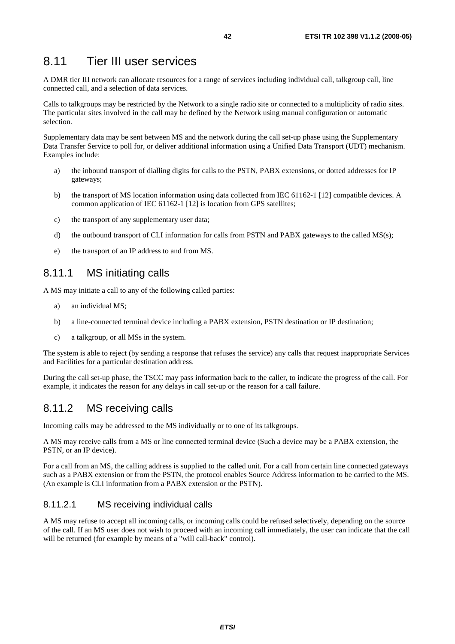### 8.11 Tier III user services

A DMR tier III network can allocate resources for a range of services including individual call, talkgroup call, line connected call, and a selection of data services.

Calls to talkgroups may be restricted by the Network to a single radio site or connected to a multiplicity of radio sites. The particular sites involved in the call may be defined by the Network using manual configuration or automatic selection.

Supplementary data may be sent between MS and the network during the call set-up phase using the Supplementary Data Transfer Service to poll for, or deliver additional information using a Unified Data Transport (UDT) mechanism. Examples include:

- a) the inbound transport of dialling digits for calls to the PSTN, PABX extensions, or dotted addresses for IP gateways;
- b) the transport of MS location information using data collected from IEC 61162-1 [12] compatible devices. A common application of IEC 61162-1 [12] is location from GPS satellites;
- c) the transport of any supplementary user data;
- d) the outbound transport of CLI information for calls from PSTN and PABX gateways to the called MS(s);
- e) the transport of an IP address to and from MS.

#### 8.11.1 MS initiating calls

A MS may initiate a call to any of the following called parties:

- a) an individual MS;
- b) a line-connected terminal device including a PABX extension, PSTN destination or IP destination;
- c) a talkgroup, or all MSs in the system.

The system is able to reject (by sending a response that refuses the service) any calls that request inappropriate Services and Facilities for a particular destination address.

During the call set-up phase, the TSCC may pass information back to the caller, to indicate the progress of the call. For example, it indicates the reason for any delays in call set-up or the reason for a call failure.

### 8.11.2 MS receiving calls

Incoming calls may be addressed to the MS individually or to one of its talkgroups.

A MS may receive calls from a MS or line connected terminal device (Such a device may be a PABX extension, the PSTN, or an IP device).

For a call from an MS, the calling address is supplied to the called unit. For a call from certain line connected gateways such as a PABX extension or from the PSTN, the protocol enables Source Address information to be carried to the MS. (An example is CLI information from a PABX extension or the PSTN).

#### 8.11.2.1 MS receiving individual calls

A MS may refuse to accept all incoming calls, or incoming calls could be refused selectively, depending on the source of the call. If an MS user does not wish to proceed with an incoming call immediately, the user can indicate that the call will be returned (for example by means of a "will call-back" control).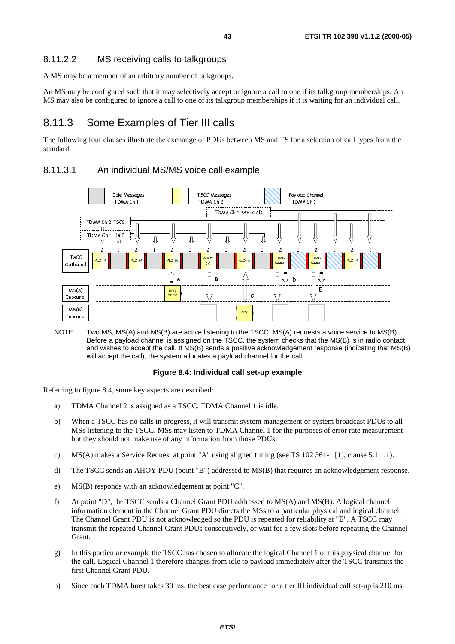#### 8.11.2.2 MS receiving calls to talkgroups

A MS may be a member of an arbitrary number of talkgroups.

An MS may be configured such that it may selectively accept or ignore a call to one if its talkgroup memberships. An MS may also be configured to ignore a call to one of its talkgroup memberships if it is waiting for an individual call.

#### 8.11.3 Some Examples of Tier III calls

The following four clauses illustrate the exchange of PDUs between MS and TS for a selection of call types from the standard.

#### 8.11.3.1 An individual MS/MS voice call example



Before a payload channel is assigned on the TSCC, the system checks that the MS(B) is in radio contact and wishes to accept the call. If MS(B) sends a positive acknowledgement response (indicating that MS(B) will accept the call), the system allocates a payload channel for the call.

#### **Figure 8.4: Individual call set-up example**

Referring to figure 8.4, some key aspects are described:

- a) TDMA Channel 2 is assigned as a TSCC. TDMA Channel 1 is idle.
- b) When a TSCC has no calls in progress, it will transmit system management or system broadcast PDUs to all MSs listening to the TSCC. MSs may listen to TDMA Channel 1 for the purposes of error rate measurement but they should not make use of any information from those PDUs.
- c) MS(A) makes a Service Request at point "A" using aligned timing (see TS 102 361-1 [1], clause 5.1.1.1).
- d) The TSCC sends an AHOY PDU (point "B") addressed to MS(B) that requires an acknowledgement response.
- e) MS(B) responds with an acknowledgement at point "C".
- f) At point "D", the TSCC sends a Channel Grant PDU addressed to MS(A) and MS(B). A logical channel information element in the Channel Grant PDU directs the MSs to a particular physical and logical channel. The Channel Grant PDU is not acknowledged so the PDU is repeated for reliability at "E". A TSCC may transmit the repeated Channel Grant PDUs consecutively, or wait for a few slots before repeating the Channel Grant.
- g) In this particular example the TSCC has chosen to allocate the logical Channel 1 of this physical channel for the call. Logical Channel 1 therefore changes from idle to payload immediately after the TSCC transmits the first Channel Grant PDU.
- h) Since each TDMA burst takes 30 ms, the best case performance for a tier III individual call set-up is 210 ms.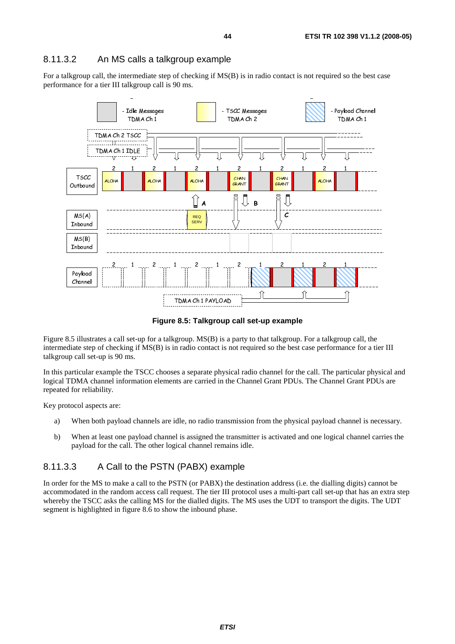#### 8.11.3.2 An MS calls a talkgroup example

For a talkgroup call, the intermediate step of checking if MS(B) is in radio contact is not required so the best case performance for a tier III talkgroup call is 90 ms.



**Figure 8.5: Talkgroup call set-up example** 

Figure 8.5 illustrates a call set-up for a talkgroup. MS(B) is a party to that talkgroup. For a talkgroup call, the intermediate step of checking if MS(B) is in radio contact is not required so the best case performance for a tier III talkgroup call set-up is 90 ms.

In this particular example the TSCC chooses a separate physical radio channel for the call. The particular physical and logical TDMA channel information elements are carried in the Channel Grant PDUs. The Channel Grant PDUs are repeated for reliability.

Key protocol aspects are:

- a) When both payload channels are idle, no radio transmission from the physical payload channel is necessary.
- b) When at least one payload channel is assigned the transmitter is activated and one logical channel carries the payload for the call. The other logical channel remains idle.

#### 8.11.3.3 A Call to the PSTN (PABX) example

In order for the MS to make a call to the PSTN (or PABX) the destination address (i.e. the dialling digits) cannot be accommodated in the random access call request. The tier III protocol uses a multi-part call set-up that has an extra step whereby the TSCC asks the calling MS for the dialled digits. The MS uses the UDT to transport the digits. The UDT segment is highlighted in figure 8.6 to show the inbound phase.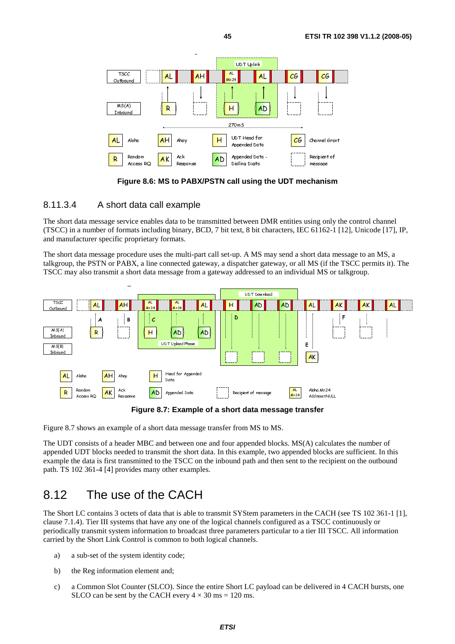

**Figure 8.6: MS to PABX/PSTN call using the UDT mechanism** 

#### 8.11.3.4 A short data call example

The short data message service enables data to be transmitted between DMR entities using only the control channel (TSCC) in a number of formats including binary, BCD, 7 bit text, 8 bit characters, IEC 61162-1 [12], Unicode [17], IP, and manufacturer specific proprietary formats.

 $\begin{array}{c} A \times \\ R \times R \end{array}$ <br>  $\begin{array}{c} A \times R \\ R \times R \end{array}$ <br>  $\begin{array}{c} A \times R \\ R \times R \end{array}$ <br>  $\begin{array}{c} A \times R \\ R \times R \end{array}$ <br>  $\begin{array}{c} A \times R \\ R \times R \end{array}$ <br>  $\begin{array}{c} A \times R \\ R \times R \end{array}$ <br>  $\begin{array}{c} A \times R \\ R \times R \end{array}$ <br>  $\begin{array}{c} A \times R \\ R \times R \end{array}$ <br>  $\begin{array}{c} A \times R \\ R \times R \end{array}$ R Random<br>
Figure 8.6: MS to PABX/PSTN<br>
Trigure 8.6: MS to PABX/PSTN<br>
Nort data call example<br>
exervice enables data to be transmitt<br>
formats including binary, BCD, 7 b<br>
fic proprietary formats.<br>
exervice uses the multi-part The short data message procedure uses the multi-part call set-up. A MS may send a short data message to an MS, a talkgroup, the PSTN or PABX, a line connected gateway, a dispatcher gateway, or all MS (if the TSCC permits it). The TSCC may also transmit a short data message from a gateway addressed to an individual MS or talkgroup.



**Figure 8.7: Example of a short data message transfer** 

Figure 8.7 shows an example of a short data message transfer from MS to MS.

**AL** Aloha **AH** Ahoy **H** Head for Appended Data Response **AD** Appended Data **Figure 8.7: Example**<br>**Figure 8.7: Example**<br>8.7 shows an example of a short data message<br>DT consists of a header MBC and between on<br>ded UDT block  $\frac{\mathsf{AK}}{\mathsf{Res}_{\mathsf{Dons}}}$   $\frac{\mathsf{Ab}}{\mathsf{Res}_{\mathsf{Dons}}}$   $\frac{\mathsf{Figure 8.7: Example 5}}{\mathsf{Figure 8.7: Example 6}$ <br>  $\mathsf{Figure 8.7: Example 6}$ <br>  $\mathsf{Example 6}$  a short data mess<br>  $\mathsf{A}$  a header MBC and between<br>  $\mathsf{Hs}$  needed to transmit the shot<br>  $\mathsf{A}$  is a hea  $R$  Rendom<br>8.7 show<br>8.7 show<br>DT consisted UDT<br>le the dat<br>8.102 36<br>2.  $\overline{1}$ <br>Ort LC cc<br>7.1.4). Times The UDT consists of a header MBC and between one and four appended blocks. MS(A) calculates the number of appended UDT blocks needed to transmit the short data. In this example, two appended blocks are sufficient. In this example the data is first transmitted to the TSCC on the inbound path and then sent to the recipient on the outbound path. TS 102 361-4 [4] provides many other examples.

### 8.12 The use of the CACH

The Short LC contains 3 octets of data that is able to transmit SYStem parameters in the CACH (see TS 102 361-1 [1], clause 7.1.4). Tier III systems that have any one of the logical channels configured as a TSCC continuously or periodically transmit system information to broadcast three parameters particular to a tier III TSCC. All information carried by the Short Link Control is common to both logical channels.

- a) a sub-set of the system identity code;
- b) the Reg information element and;
- c) a Common Slot Counter (SLCO). Since the entire Short LC payload can be delivered in 4 CACH bursts, one SLCO can be sent by the CACH every  $4 \times 30$  ms = 120 ms.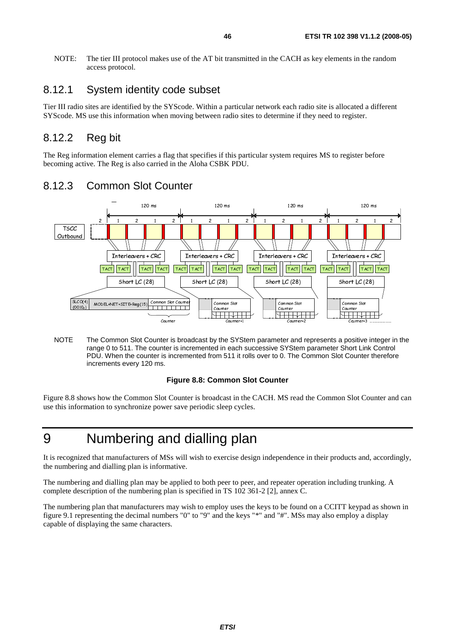NOTE: The tier III protocol makes use of the AT bit transmitted in the CACH as key elements in the random access protocol.

### 8.12.1 System identity code subset

Tier III radio sites are identified by the SYScode. Within a particular network each radio site is allocated a different SYScode. MS use this information when moving between radio sites to determine if they need to register.

#### 8.12.2 Reg bit

The Reg information element carries a flag that specifies if this particular system requires MS to register before becoming active. The Reg is also carried in the Aloha CSBK PDU.



#### 8.12.3 Common Slot Counter

NOTE The Common Slot Counter is broadcast by the SYStem parameter and represents a positive integer in the range 0 to 511. The counter is incremented in each successive SYStem parameter Short Link Control PDU. When the counter is incremented from 511 it rolls over to 0. The Common Slot Counter therefore increments every 120 ms.

#### **Figure 8.8: Common Slot Counter**

Figure 8.8 shows how the Common Slot Counter is broadcast in the CACH. MS read the Common Slot Counter and can use this information to synchronize power save periodic sleep cycles.

## 9 Numbering and dialling plan

It is recognized that manufacturers of MSs will wish to exercise design independence in their products and, accordingly, the numbering and dialling plan is informative.

The numbering and dialling plan may be applied to both peer to peer, and repeater operation including trunking. A complete description of the numbering plan is specified in TS 102 361-2 [2], annex C.

The numbering plan that manufacturers may wish to employ uses the keys to be found on a CCITT keypad as shown in figure 9.1 representing the decimal numbers "0" to "9" and the keys "\*" and "#". MSs may also employ a display capable of displaying the same characters.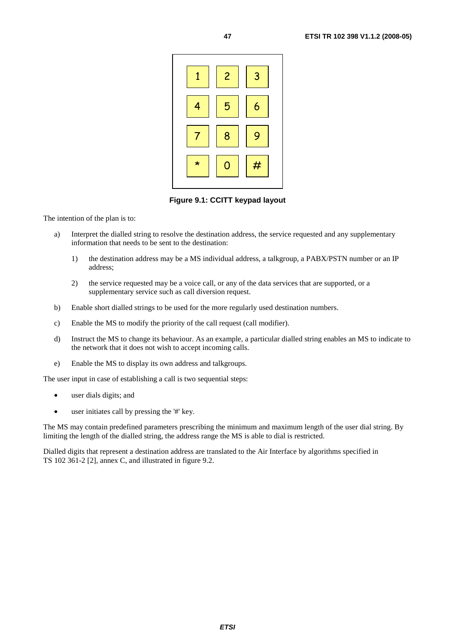

**Figure 9.1: CCITT keypad layout** 

The intention of the plan is to:

- a) Interpret the dialled string to resolve the destination address, the service requested and any supplementary information that needs to be sent to the destination:
	- 1) the destination address may be a MS individual address, a talkgroup, a PABX/PSTN number or an IP address;
	- 2) the service requested may be a voice call, or any of the data services that are supported, or a supplementary service such as call diversion request.
- b) Enable short dialled strings to be used for the more regularly used destination numbers.
- c) Enable the MS to modify the priority of the call request (call modifier).
- d) Instruct the MS to change its behaviour. As an example, a particular dialled string enables an MS to indicate to the network that it does not wish to accept incoming calls.
- e) Enable the MS to display its own address and talkgroups.

The user input in case of establishing a call is two sequential steps:

- user dials digits; and
- user initiates call by pressing the '#' key.

The MS may contain predefined parameters prescribing the minimum and maximum length of the user dial string. By limiting the length of the dialled string, the address range the MS is able to dial is restricted.

Dialled digits that represent a destination address are translated to the Air Interface by algorithms specified in TS 102 361-2 [2], annex C, and illustrated in figure 9.2.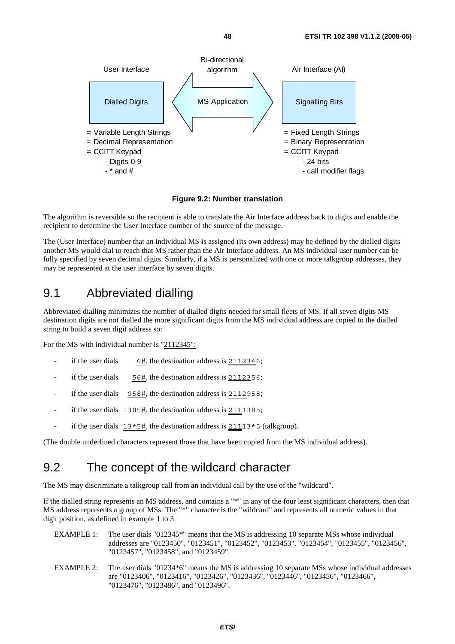

**Figure 9.2: Number translation** 

The algorithm is reversible so the recipient is able to translate the Air Interface address back to digits and enable the recipient to determine the User Interface number of the source of the message.

The (User Interface) number that an individual MS is assigned (its own address) may be defined by the dialled digits another MS would dial to reach that MS rather than the Air Interface address. An MS individual user number can be fully specified by seven decimal digits. Similarly, if a MS is personalized with one or more talkgroup addresses, they may be represented at the user interface by seven digits.

### 9.1 Abbreviated dialling

Abbreviated dialling minimizes the number of dialled digits needed for small fleets of MS. If all seven digits MS destination digits are not dialled the more significant digits from the MS individual address are copied to the dialled string to build a seven digit address so:

For the MS with individual number is "2112345":

- if the user dials  $6\#$ , the destination address is  $2112346$ ;
- if the user dials  $56\text{\#}$ , the destination address is 2112356;
- if the user dials  $958\text{#}$ , the destination address is 2112958;
- if the user dials  $1385$ #, the destination address is  $2111385$ ;
- if the user dials  $13*5\text{\#}$ , the destination address is  $21113*5$  (talkgroup).

(The double underlined characters represent those that have been copied from the MS individual address).

### 9.2 The concept of the wildcard character

The MS may discriminate a talkgroup call from an individual call by the use of the "wildcard".

If the dialled string represents an MS address, and contains a "\*" in any of the four least significant characters, then that MS address represents a group of MSs. The "\*" character is the "wildcard" and represents all numeric values in that digit position, as defined in example 1 to 3.

- EXAMPLE 1: The user dials "012345<sup>\*</sup>" means that the MS is addressing 10 separate MSs whose individual addresses are "0123450", "0123451", "0123452", "0123453", "0123454", "0123455", "0123456", "0123457", "0123458", and "0123459".
- EXAMPLE 2: The user dials "01234\*6" means the MS is addressing 10 separate MSs whose individual addresses are "0123406", "0123416", "0123426", "0123436", "0123446", "0123456", "0123466", "0123476", "0123486", and "0123496".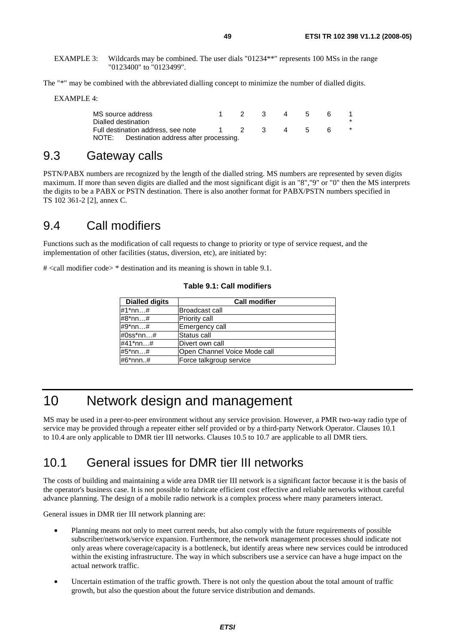EXAMPLE 3: Wildcards may be combined. The user dials "01234\*\*" represents 100 MSs in the range "0123400" to "0123499".

The "\*" may be combined with the abbreviated dialling concept to minimize the number of dialled digits.

EXAMPLE 4:

| MS source address<br>Dialled destination |                                             | 1 2 3 4 5 |  | - 6 |  |
|------------------------------------------|---------------------------------------------|-----------|--|-----|--|
|                                          | Full destination address, see note          | 1 2 3 4 5 |  |     |  |
|                                          | NOTE: Destination address after processing. |           |  |     |  |

#### 9.3 Gateway calls

PSTN/PABX numbers are recognized by the length of the dialled string. MS numbers are represented by seven digits maximum. If more than seven digits are dialled and the most significant digit is an "8","9" or "0" then the MS interprets the digits to be a PABX or PSTN destination. There is also another format for PABX/PSTN numbers specified in TS 102 361-2 [2], annex C.

### 9.4 Call modifiers

Functions such as the modification of call requests to change to priority or type of service request, and the implementation of other facilities (status, diversion, etc), are initiated by:

# <call modifier code> \* destination and its meaning is shown in table 9.1.

#### **Table 9.1: Call modifiers**

| <b>Dialled digits</b> | <b>Call modifier</b>         |
|-----------------------|------------------------------|
| #1*nn#                | Broadcast call               |
| #8*nn#                | Priority call                |
| #9*nn…#               | Emergency call               |
| #0ss*nn…#             | Status call                  |
| #41*nn…#              | Divert own call              |
| #5*nn…#               | Open Channel Voice Mode call |
| #6*nnn#               | Force talkgroup service      |

## 10 Network design and management

MS may be used in a peer-to-peer environment without any service provision. However, a PMR two-way radio type of service may be provided through a repeater either self provided or by a third-party Network Operator. Clauses 10.1 to 10.4 are only applicable to DMR tier III networks. Clauses 10.5 to 10.7 are applicable to all DMR tiers.

### 10.1 General issues for DMR tier III networks

The costs of building and maintaining a wide area DMR tier III network is a significant factor because it is the basis of the operator's business case. It is not possible to fabricate efficient cost effective and reliable networks without careful advance planning. The design of a mobile radio network is a complex process where many parameters interact.

General issues in DMR tier III network planning are:

- Planning means not only to meet current needs, but also comply with the future requirements of possible subscriber/network/service expansion. Furthermore, the network management processes should indicate not only areas where coverage/capacity is a bottleneck, but identify areas where new services could be introduced within the existing infrastructure. The way in which subscribers use a service can have a huge impact on the actual network traffic.
- Uncertain estimation of the traffic growth. There is not only the question about the total amount of traffic growth, but also the question about the future service distribution and demands.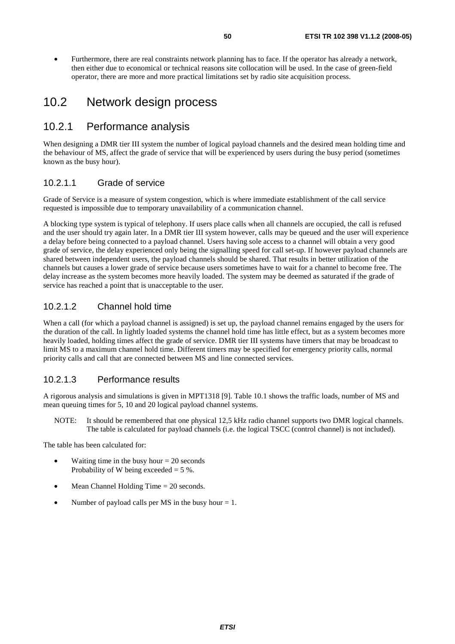• Furthermore, there are real constraints network planning has to face. If the operator has already a network, then either due to economical or technical reasons site collocation will be used. In the case of green-field operator, there are more and more practical limitations set by radio site acquisition process.

### 10.2 Network design process

#### 10.2.1 Performance analysis

When designing a DMR tier III system the number of logical payload channels and the desired mean holding time and the behaviour of MS, affect the grade of service that will be experienced by users during the busy period (sometimes known as the busy hour).

#### 10.2.1.1 Grade of service

Grade of Service is a measure of system congestion, which is where immediate establishment of the call service requested is impossible due to temporary unavailability of a communication channel.

A blocking type system is typical of telephony. If users place calls when all channels are occupied, the call is refused and the user should try again later. In a DMR tier III system however, calls may be queued and the user will experience a delay before being connected to a payload channel. Users having sole access to a channel will obtain a very good grade of service, the delay experienced only being the signalling speed for call set-up. If however payload channels are shared between independent users, the payload channels should be shared. That results in better utilization of the channels but causes a lower grade of service because users sometimes have to wait for a channel to become free. The delay increase as the system becomes more heavily loaded. The system may be deemed as saturated if the grade of service has reached a point that is unacceptable to the user.

#### 10.2.1.2 Channel hold time

When a call (for which a payload channel is assigned) is set up, the payload channel remains engaged by the users for the duration of the call. In lightly loaded systems the channel hold time has little effect, but as a system becomes more heavily loaded, holding times affect the grade of service. DMR tier III systems have timers that may be broadcast to limit MS to a maximum channel hold time. Different timers may be specified for emergency priority calls, normal priority calls and call that are connected between MS and line connected services.

#### 10.2.1.3 Performance results

A rigorous analysis and simulations is given in MPT1318 [9]. Table 10.1 shows the traffic loads, number of MS and mean queuing times for 5, 10 and 20 logical payload channel systems.

NOTE: It should be remembered that one physical 12,5 kHz radio channel supports two DMR logical channels. The table is calculated for payload channels (i.e. the logical TSCC (control channel) is not included).

The table has been calculated for:

- Waiting time in the busy hour  $= 20$  seconds Probability of W being exceeded  $= 5$  %.
- Mean Channel Holding Time = 20 seconds.
- Number of payload calls per MS in the busy hour  $= 1$ .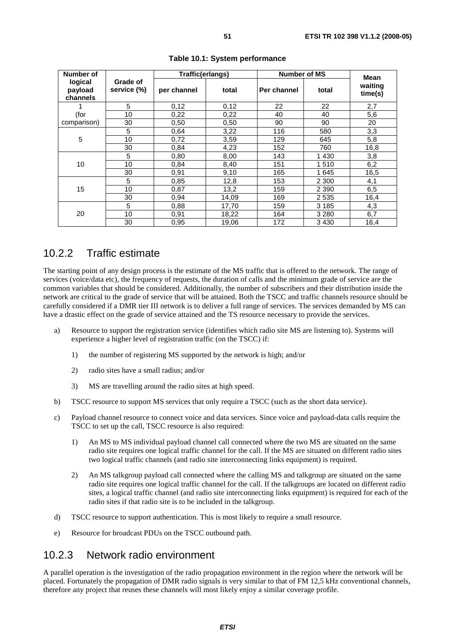| Number of                      |                         | Traffic(erlangs) |       | <b>Number of MS</b> |         | Mean               |  |
|--------------------------------|-------------------------|------------------|-------|---------------------|---------|--------------------|--|
| logical<br>payload<br>channels | Grade of<br>service (%) | per channel      | total | Per channel         | total   | waiting<br>time(s) |  |
| 1                              | 5                       | 0,12             | 0,12  | 22                  | 22      | 2,7                |  |
| (for                           | 10                      | 0,22             | 0,22  | 40                  | 40      | 5,6                |  |
| comparison)                    | 30                      | 0,50             | 0,50  | 90                  | 90      | 20                 |  |
| $\sqrt{5}$                     | 5                       | 0.64             | 3,22  | 116                 | 580     | 3,3                |  |
|                                | 10                      | 0,72             | 3,59  | 129                 | 645     | 5,8                |  |
|                                | 30                      | 0,84             | 4,23  | 152                 | 760     | 16,8               |  |
|                                | 5                       | 0,80             | 8,00  | 143                 | 1 4 3 0 | 3,8                |  |
| 10                             | 10                      | 0,84             | 8,40  | 151                 | 1510    | 6,2                |  |
|                                | 30                      | 0,91             | 9,10  | 165                 | 1645    | 16,5               |  |
|                                | 5                       | 0.85             | 12,8  | 153                 | 2 3 0 0 | 4,1                |  |
| 15                             | 10                      | 0,87             | 13,2  | 159                 | 2 3 9 0 | 6,5                |  |
|                                | 30                      | 0,94             | 14,09 | 169                 | 2535    | 16,4               |  |
|                                | 5                       | 0.88             | 17,70 | 159                 | 3 1 8 5 | 4,3                |  |
| 20                             | 10                      | 0,91             | 18,22 | 164                 | 3 2 8 0 | 6,7                |  |
|                                | 30                      | 0,95             | 19,06 | 172                 | 3430    | 16,4               |  |

**Table 10.1: System performance** 

#### 10.2.2 Traffic estimate

The starting point of any design process is the estimate of the MS traffic that is offered to the network. The range of services (voice/data etc), the frequency of requests, the duration of calls and the minimum grade of service are the common variables that should be considered. Additionally, the number of subscribers and their distribution inside the network are critical to the grade of service that will be attained. Both the TSCC and traffic channels resource should be carefully considered if a DMR tier III network is to deliver a full range of services. The services demanded by MS can have a drastic effect on the grade of service attained and the TS resource necessary to provide the services.

- a) Resource to support the registration service (identifies which radio site MS are listening to). Systems will experience a higher level of registration traffic (on the TSCC) if:
	- 1) the number of registering MS supported by the network is high; and/or
	- 2) radio sites have a small radius; and/or
	- 3) MS are travelling around the radio sites at high speed.
- b) TSCC resource to support MS services that only require a TSCC (such as the short data service).
- c) Payload channel resource to connect voice and data services. Since voice and payload-data calls require the TSCC to set up the call, TSCC resource is also required:
	- 1) An MS to MS individual payload channel call connected where the two MS are situated on the same radio site requires one logical traffic channel for the call. If the MS are situated on different radio sites two logical traffic channels (and radio site interconnecting links equipment) is required.
	- 2) An MS talkgroup payload call connected where the calling MS and talkgroup are situated on the same radio site requires one logical traffic channel for the call. If the talkgroups are located on different radio sites, a logical traffic channel (and radio site interconnecting links equipment) is required for each of the radio sites if that radio site is to be included in the talkgroup.
- d) TSCC resource to support authentication. This is most likely to require a small resource.
- e) Resource for broadcast PDUs on the TSCC outbound path.

### 10.2.3 Network radio environment

A parallel operation is the investigation of the radio propagation environment in the region where the network will be placed. Fortunately the propagation of DMR radio signals is very similar to that of FM 12,5 kHz conventional channels, therefore any project that reuses these channels will most likely enjoy a similar coverage profile.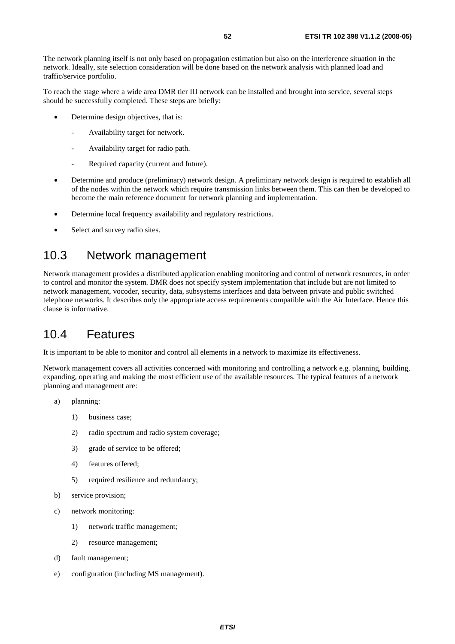The network planning itself is not only based on propagation estimation but also on the interference situation in the network. Ideally, site selection consideration will be done based on the network analysis with planned load and traffic/service portfolio.

To reach the stage where a wide area DMR tier III network can be installed and brought into service, several steps should be successfully completed. These steps are briefly:

- Determine design objectives, that is:
	- Availability target for network.
	- Availability target for radio path.
	- Required capacity (current and future).
- Determine and produce (preliminary) network design. A preliminary network design is required to establish all of the nodes within the network which require transmission links between them. This can then be developed to become the main reference document for network planning and implementation.
- Determine local frequency availability and regulatory restrictions.
- Select and survey radio sites.

### 10.3 Network management

Network management provides a distributed application enabling monitoring and control of network resources, in order to control and monitor the system. DMR does not specify system implementation that include but are not limited to network management, vocoder, security, data, subsystems interfaces and data between private and public switched telephone networks. It describes only the appropriate access requirements compatible with the Air Interface. Hence this clause is informative.

### 10.4 Features

It is important to be able to monitor and control all elements in a network to maximize its effectiveness.

Network management covers all activities concerned with monitoring and controlling a network e.g. planning, building, expanding, operating and making the most efficient use of the available resources. The typical features of a network planning and management are:

- a) planning:
	- 1) business case;
	- 2) radio spectrum and radio system coverage;
	- 3) grade of service to be offered;
	- 4) features offered;
	- 5) required resilience and redundancy;
- b) service provision;
- c) network monitoring:
	- 1) network traffic management;
	- 2) resource management;
- d) fault management;
- e) configuration (including MS management).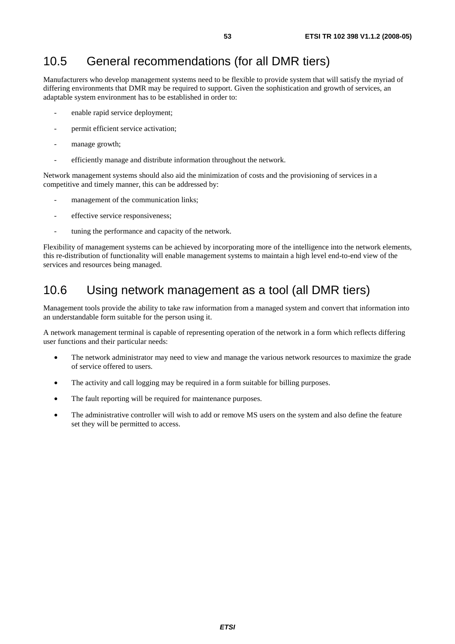## 10.5 General recommendations (for all DMR tiers)

Manufacturers who develop management systems need to be flexible to provide system that will satisfy the myriad of differing environments that DMR may be required to support. Given the sophistication and growth of services, an adaptable system environment has to be established in order to:

- enable rapid service deployment;
- permit efficient service activation;
- manage growth;
- efficiently manage and distribute information throughout the network.

Network management systems should also aid the minimization of costs and the provisioning of services in a competitive and timely manner, this can be addressed by:

- management of the communication links;
- effective service responsiveness:
- tuning the performance and capacity of the network.

Flexibility of management systems can be achieved by incorporating more of the intelligence into the network elements, this re-distribution of functionality will enable management systems to maintain a high level end-to-end view of the services and resources being managed.

### 10.6 Using network management as a tool (all DMR tiers)

Management tools provide the ability to take raw information from a managed system and convert that information into an understandable form suitable for the person using it.

A network management terminal is capable of representing operation of the network in a form which reflects differing user functions and their particular needs:

- The network administrator may need to view and manage the various network resources to maximize the grade of service offered to users.
- The activity and call logging may be required in a form suitable for billing purposes.
- The fault reporting will be required for maintenance purposes.
- The administrative controller will wish to add or remove MS users on the system and also define the feature set they will be permitted to access.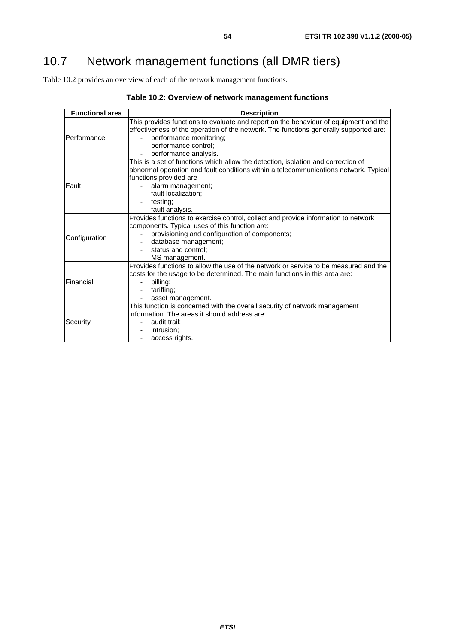Table 10.2 provides an overview of each of the network management functions.

| <b>Functional area</b> | <b>Description</b>                                                                                                                                                                                                                                                                                           |
|------------------------|--------------------------------------------------------------------------------------------------------------------------------------------------------------------------------------------------------------------------------------------------------------------------------------------------------------|
| IPerformance           | This provides functions to evaluate and report on the behaviour of equipment and the<br>effectiveness of the operation of the network. The functions generally supported are:<br>performance monitoring;<br>performance control;                                                                             |
|                        | performance analysis.                                                                                                                                                                                                                                                                                        |
| Fault                  | This is a set of functions which allow the detection, isolation and correction of<br>abnormal operation and fault conditions within a telecommunications network. Typical<br>functions provided are :<br>alarm management;<br>fault localization;<br>$\overline{\phantom{a}}$<br>testing;<br>fault analysis. |
| Configuration          | Provides functions to exercise control, collect and provide information to network<br>components. Typical uses of this function are:<br>provisioning and configuration of components;<br>database management;<br>status and control;<br>MS management.                                                       |
| Financial              | Provides functions to allow the use of the network or service to be measured and the<br>costs for the usage to be determined. The main functions in this area are:<br>billing;<br>tariffing;<br>asset management.                                                                                            |
| Security               | This function is concerned with the overall security of network management<br>information. The areas it should address are:<br>audit trail:<br>intrusion;<br>access rights.                                                                                                                                  |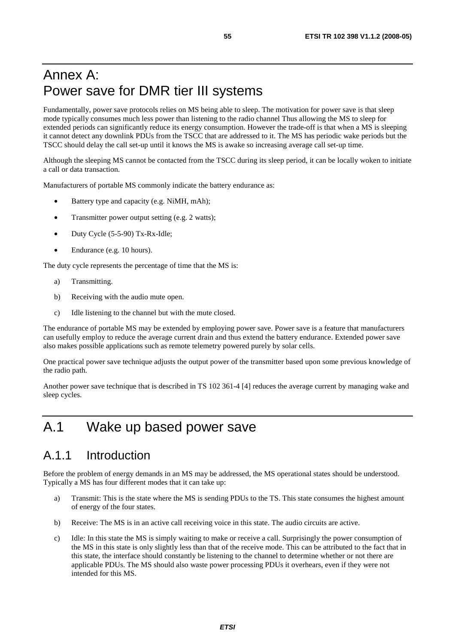## Annex A: Power save for DMR tier III systems

Fundamentally, power save protocols relies on MS being able to sleep. The motivation for power save is that sleep mode typically consumes much less power than listening to the radio channel Thus allowing the MS to sleep for extended periods can significantly reduce its energy consumption. However the trade-off is that when a MS is sleeping it cannot detect any downlink PDUs from the TSCC that are addressed to it. The MS has periodic wake periods but the TSCC should delay the call set-up until it knows the MS is awake so increasing average call set-up time.

Although the sleeping MS cannot be contacted from the TSCC during its sleep period, it can be locally woken to initiate a call or data transaction.

Manufacturers of portable MS commonly indicate the battery endurance as:

- Battery type and capacity (e.g. NiMH, mAh);
- Transmitter power output setting (e.g. 2 watts);
- Duty Cycle (5-5-90) Tx-Rx-Idle;
- Endurance (e.g. 10 hours).

The duty cycle represents the percentage of time that the MS is:

- a) Transmitting.
- b) Receiving with the audio mute open.
- c) Idle listening to the channel but with the mute closed.

The endurance of portable MS may be extended by employing power save. Power save is a feature that manufacturers can usefully employ to reduce the average current drain and thus extend the battery endurance. Extended power save also makes possible applications such as remote telemetry powered purely by solar cells.

One practical power save technique adjusts the output power of the transmitter based upon some previous knowledge of the radio path.

Another power save technique that is described in TS 102 361-4 [4] reduces the average current by managing wake and sleep cycles.

## A.1 Wake up based power save

### A.1.1 Introduction

Before the problem of energy demands in an MS may be addressed, the MS operational states should be understood. Typically a MS has four different modes that it can take up:

- a) Transmit: This is the state where the MS is sending PDUs to the TS. This state consumes the highest amount of energy of the four states.
- b) Receive: The MS is in an active call receiving voice in this state. The audio circuits are active.
- c) Idle: In this state the MS is simply waiting to make or receive a call. Surprisingly the power consumption of the MS in this state is only slightly less than that of the receive mode. This can be attributed to the fact that in this state, the interface should constantly be listening to the channel to determine whether or not there are applicable PDUs. The MS should also waste power processing PDUs it overhears, even if they were not intended for this MS.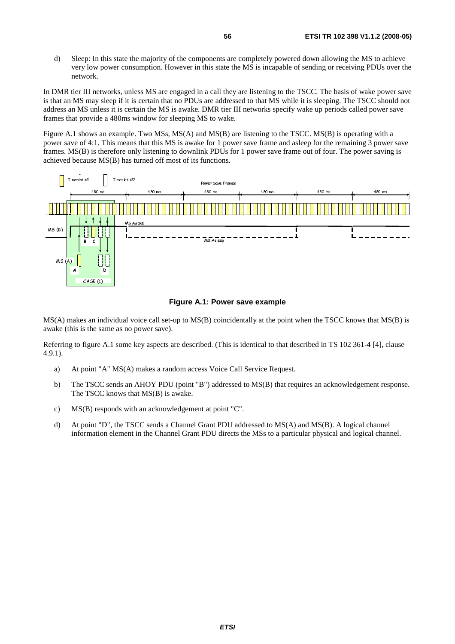d) Sleep: In this state the majority of the components are completely powered down allowing the MS to achieve very low power consumption. However in this state the MS is incapable of sending or receiving PDUs over the network.

In DMR tier III networks, unless MS are engaged in a call they are listening to the TSCC. The basis of wake power save is that an MS may sleep if it is certain that no PDUs are addressed to that MS while it is sleeping. The TSCC should not address an MS unless it is certain the MS is awake. DMR tier III networks specify wake up periods called power save frames that provide a 480ms window for sleeping MS to wake.

Figure A.1 shows an example. Two MSs, MS(A) and MS(B) are listening to the TSCC. MS(B) is operating with a power save of 4:1. This means that this MS is awake for 1 power save frame and asleep for the remaining 3 power save frames. MS(B) is therefore only listening to downlink PDUs for 1 power save frame out of four. The power saving is achieved because MS(B) has turned off most of its functions.



#### **Figure A.1: Power save example**

Figure A.1: Power save example<br>MS(A) makes an individual voice call set-up to MS(B) coincidentally at the point when the TSCC knows that MS(B) is<br>awake (this is the same as no power save) awake (this is the same as no power save).

Referring to figure A.1 some key aspects are described. (This is identical to that described in TS 102 361-4 [4], clause 4.9.1).

- a) At point "A" MS(A) makes a random access Voice Call Service Request.
- b) The TSCC sends an AHOY PDU (point "B") addressed to MS(B) that requires an acknowledgement response. The TSCC knows that MS(B) is awake.
- c) MS(B) responds with an acknowledgement at point "C".
- d) At point "D", the TSCC sends a Channel Grant PDU addressed to MS(A) and MS(B). A logical channel information element in the Channel Grant PDU directs the MSs to a particular physical and logical channel.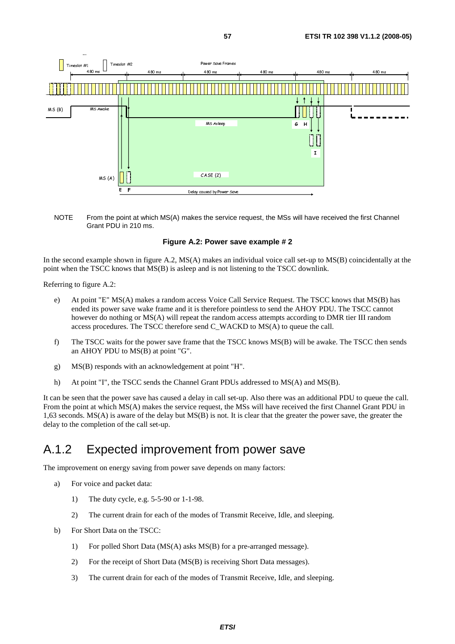



#### **Figure A.2: Power save example # 2**

In the second example shown in figure A.2, MS(A) makes an individual voice call set-up to MS(B) coincidentally at the point when the TSCC knows that MS(B) is asleep and is not listening to the TSCC downlink.

Referring to figure A.2:

- e) At point "E" MS(A) makes a random access Voice Call Service Request. The TSCC knows that MS(B) has ended its power save wake frame and it is therefore pointless to send the AHOY PDU. The TSCC cannot however do nothing or MS(A) will repeat the random access attempts according to DMR tier III random access procedures. The TSCC therefore send C\_WACKD to MS(A) to queue the call.
- f) The TSCC waits for the power save frame that the TSCC knows MS(B) will be awake. The TSCC then sends an AHOY PDU to MS(B) at point "G".
- g) MS(B) responds with an acknowledgement at point "H".
- h) At point "I", the TSCC sends the Channel Grant PDUs addressed to MS(A) and MS(B).

It can be seen that the power save has caused a delay in call set-up. Also there was an additional PDU to queue the call. From the point at which MS(A) makes the service request, the MSs will have received the first Channel Grant PDU in 1,63 seconds. MS(A) is aware of the delay but MS(B) is not. It is clear that the greater the power save, the greater the delay to the completion of the call set-up.

### A.1.2 Expected improvement from power save

The improvement on energy saving from power save depends on many factors:

- a) For voice and packet data:
	- 1) The duty cycle, e.g. 5-5-90 or 1-1-98.
	- 2) The current drain for each of the modes of Transmit Receive, Idle, and sleeping.
- b) For Short Data on the TSCC:
	- 1) For polled Short Data (MS(A) asks MS(B) for a pre-arranged message).
	- 2) For the receipt of Short Data (MS(B) is receiving Short Data messages).
	- 3) The current drain for each of the modes of Transmit Receive, Idle, and sleeping.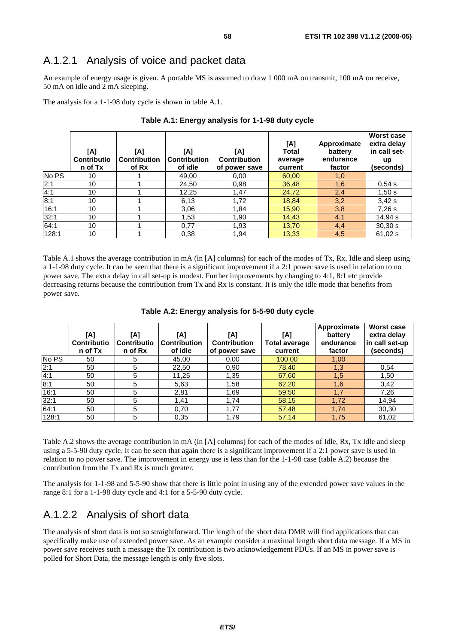### A.1.2.1 Analysis of voice and packet data

An example of energy usage is given. A portable MS is assumed to draw 1 000 mA on transmit, 100 mA on receive, 50 mA on idle and 2 mA sleeping.

The analysis for a 1-1-98 duty cycle is shown in table A.1.

|       | [A]<br><b>Contributio</b><br>n of Tx | [A]<br><b>Contribution</b><br>of Rx | [A]<br><b>Contribution</b><br>of idle | [A]<br><b>Contribution</b><br>of power save | [A]<br><b>Total</b><br>average<br>current | Approximate<br>battery<br>endurance<br>factor | <b>Worst case</b><br>extra delay<br>in call set-<br>up<br>(seconds) |
|-------|--------------------------------------|-------------------------------------|---------------------------------------|---------------------------------------------|-------------------------------------------|-----------------------------------------------|---------------------------------------------------------------------|
| No PS | 10                                   |                                     | 49,00                                 | 0,00                                        | 60,00                                     | 1,0                                           |                                                                     |
| 2:1   | 10                                   |                                     | 24,50                                 | 0,98                                        | 36,48                                     | 1,6                                           | 0.54 s                                                              |
| 4:1   | 10                                   |                                     | 12,25                                 | 1,47                                        | 24,72                                     | 2,4                                           | 1,50s                                                               |
| 8:1   | 10                                   |                                     | 6.13                                  | 1,72                                        | 18,84                                     | 3,2                                           | 3,42s                                                               |
| 16:1  | 10                                   |                                     | 3,06                                  | 1.84                                        | 15,90                                     | 3,8                                           | 7.26 s                                                              |
| 32:1  | 10                                   |                                     | 1,53                                  | 1,90                                        | 14,43                                     | 4,1                                           | 14,94 s                                                             |
| 64:1  | 10                                   |                                     | 0,77                                  | 1,93                                        | 13,70                                     | 4,4                                           | 30,30 s                                                             |
| 128:1 | 10                                   |                                     | 0,38                                  | 1,94                                        | 13,33                                     | 4,5                                           | 61,02 s                                                             |

#### **Table A.1: Energy analysis for 1-1-98 duty cycle**

Table A.1 shows the average contribution in mA (in [A] columns) for each of the modes of Tx, Rx, Idle and sleep using a 1-1-98 duty cycle. It can be seen that there is a significant improvement if a 2:1 power save is used in relation to no power save. The extra delay in call set-up is modest. Further improvements by changing to 4:1, 8:1 etc provide decreasing returns because the contribution from Tx and Rx is constant. It is only the idle mode that benefits from power save.

|       | [A]<br><b>Contributio</b><br>n of Tx | [A]<br><b>Contributio</b><br>n of Rx | [A]<br><b>Contribution</b><br>of idle | [A]<br><b>Contribution</b><br>of power save | [A]<br><b>Total average</b><br>current | Approximate<br>battery<br>endurance<br>factor | <b>Worst case</b><br>extra delay<br>in call set-up<br>(seconds) |
|-------|--------------------------------------|--------------------------------------|---------------------------------------|---------------------------------------------|----------------------------------------|-----------------------------------------------|-----------------------------------------------------------------|
| No PS | 50                                   | 5                                    | 45,00                                 | 0,00                                        | 100,00                                 | 1,00                                          |                                                                 |
| 2:1   | 50                                   | 5                                    | 22,50                                 | 0,90                                        | 78,40                                  | 1,3                                           | 0,54                                                            |
| 4:1   | 50                                   | 5                                    | 11,25                                 | 1,35                                        | 67,60                                  | 1,5                                           | 1,50                                                            |
| 8:1   | 50                                   | 5                                    | 5,63                                  | 1,58                                        | 62,20                                  | 1,6                                           | 3,42                                                            |
| 16:1  | 50                                   | 5                                    | 2,81                                  | 1,69                                        | 59,50                                  | 1,7                                           | 7,26                                                            |
| 32:1  | 50                                   | 5                                    | 1.41                                  | 1.74                                        | 58,15                                  | 1,72                                          | 14,94                                                           |
| 64:1  | 50                                   | 5                                    | 0,70                                  | 1,77                                        | 57,48                                  | 1,74                                          | 30,30                                                           |
| 128:1 | 50                                   | 5                                    | 0,35                                  | 1,79                                        | 57,14                                  | 1,75                                          | 61,02                                                           |

#### **Table A.2: Energy analysis for 5-5-90 duty cycle**

Table A.2 shows the average contribution in mA (in [A] columns) for each of the modes of Idle, Rx, Tx Idle and sleep using a 5-5-90 duty cycle. It can be seen that again there is a significant improvement if a 2:1 power save is used in relation to no power save. The improvement in energy use is less than for the 1-1-98 case (table A.2) because the contribution from the Tx and Rx is much greater.

The analysis for 1-1-98 and 5-5-90 show that there is little point in using any of the extended power save values in the range 8:1 for a 1-1-98 duty cycle and 4:1 for a 5-5-90 duty cycle.

#### A.1.2.2 Analysis of short data

The analysis of short data is not so straightforward. The length of the short data DMR will find applications that can specifically make use of extended power save. As an example consider a maximal length short data message. If a MS in power save receives such a message the Tx contribution is two acknowledgement PDUs. If an MS in power save is polled for Short Data, the message length is only five slots.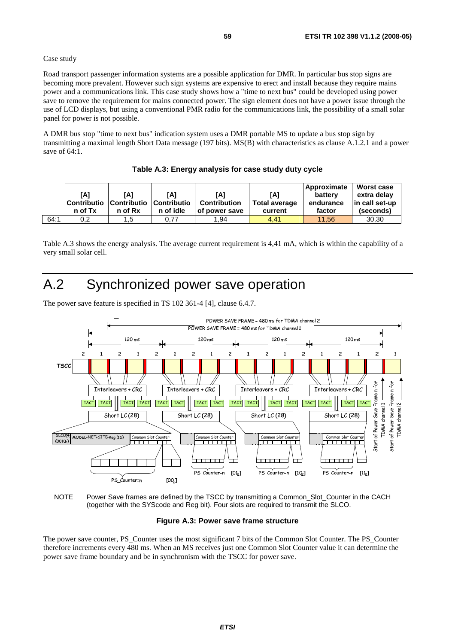#### Case study

Road transport passenger information systems are a possible application for DMR. In particular bus stop signs are becoming more prevalent. However such sign systems are expensive to erect and install because they require mains power and a communications link. This case study shows how a "time to next bus" could be developed using power save to remove the requirement for mains connected power. The sign element does not have a power issue through the use of LCD displays, but using a conventional PMR radio for the communications link, the possibility of a small solar panel for power is not possible.

A DMR bus stop "time to next bus" indication system uses a DMR portable MS to update a bus stop sign by transmitting a maximal length Short Data message (197 bits). MS(B) with characteristics as clause A.1.2.1 and a power save of 64:1.

|      | [A]<br><b>Contributio</b><br>n of Tx | [A]<br><b>Contributio Contributio</b><br>n of Rx | [A]<br>n of idle | [A]<br><b>Contribution</b><br>of power save | [A]<br><b>Total average</b><br>current | Approximate<br>battery<br>endurance<br>factor | <b>Worst case</b><br>extra delav<br>in call set-up<br>(seconds) |
|------|--------------------------------------|--------------------------------------------------|------------------|---------------------------------------------|----------------------------------------|-----------------------------------------------|-----------------------------------------------------------------|
| 64:1 | 0,2                                  | 1.5                                              | 0.77             | 1.94                                        | 4.41                                   | 11.56                                         | 30,30                                                           |

Table A.3 shows the energy analysis. The average current requirement is 4,41 mA, which is within the capability of a very small solar cell.

## A.2 Synchronized power save operation

The power save feature is specified in TS 102 361-4 [4], clause 6.4.7.





#### **Figure A.3: Power save frame structure**

The power save counter, PS\_Counter uses the most significant 7 bits of the Common Slot Counter. The PS\_Counter therefore increments every 480 ms. When an MS receives just one Common Slot Counter value it can determine the power save frame boundary and be in synchronism with the TSCC for power save.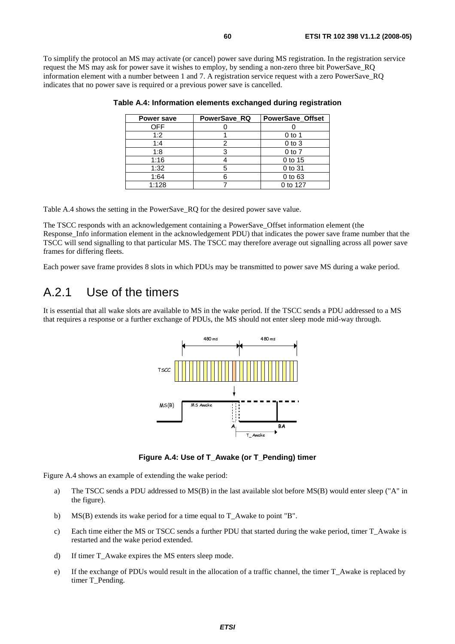To simplify the protocol an MS may activate (or cancel) power save during MS registration. In the registration service request the MS may ask for power save it wishes to employ, by sending a non-zero three bit PowerSave\_RQ information element with a number between 1 and 7. A registration service request with a zero PowerSave\_RQ indicates that no power save is required or a previous power save is cancelled.

| Power save | PowerSave RQ | <b>PowerSave Offset</b> |
|------------|--------------|-------------------------|
| <b>OFF</b> |              |                         |
| 1:2        |              | $0$ to 1                |
| 1:4        |              | $0$ to $3$              |
| 1:8        |              | $0$ to $7$              |
| 1:16       |              | 0 to 15                 |
| 1:32       | 5            | 0 to 31                 |
| 1:64       |              | 0 to 63                 |
| 1:128      |              | 0 to 127                |

| Table A.4: Information elements exchanged during registration |  |  |
|---------------------------------------------------------------|--|--|
|                                                               |  |  |

Table A.4 shows the setting in the PowerSave\_RQ for the desired power save value.

The TSCC responds with an acknowledgement containing a PowerSave\_Offset information element (the Response Info information element in the acknowledgement PDU) that indicates the power save frame number that the TSCC will send signalling to that particular MS. The TSCC may therefore average out signalling across all power save frames for differing fleets.

Each power save frame provides 8 slots in which PDUs may be transmitted to power save MS during a wake period.

### A.2.1 Use of the timers

It is essential that all wake slots are available to MS in the wake period. If the TSCC sends a PDU addressed to a MS that requires a response or a further exchange of PDUs, the MS should not enter sleep mode mid-way through.



T\_M<br>or T\_F<br>wilsh **Figure A.4: Use of T\_Awake (or T\_Pending) timer** 

Figure A.4 shows an example of extending the wake period:

- dir<br>Bar<br>Bar<br>Bar<br>Bar  $\mathbf{k}$ <br>a<br> $\mathbf{a}$ a) The TSCC sends a PDU addressed to MS(B) in the last available slot before MS(B) would enter sleep ("A" in the figure).
- b) MS(B) extends its wake period for a time equal to T\_Awake to point "B".
- c) Each time either the MS or TSCC sends a further PDU that started during the wake period, timer T\_Awake is restarted and the wake period extended.
- d) If timer T\_Awake expires the MS enters sleep mode.
- e) If the exchange of PDUs would result in the allocation of a traffic channel, the timer T\_Awake is replaced by timer T\_Pending.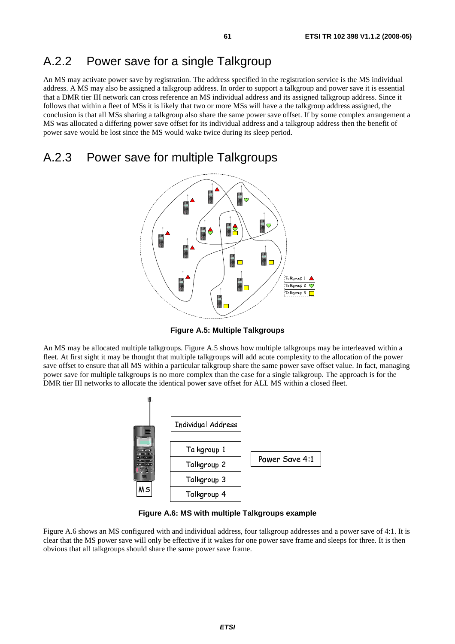### A.2.2 Power save for a single Talkgroup

An MS may activate power save by registration. The address specified in the registration service is the MS individual address. A MS may also be assigned a talkgroup address. In order to support a talkgroup and power save it is essential that a DMR tier III network can cross reference an MS individual address and its assigned talkgroup address. Since it follows that within a fleet of MSs it is likely that two or more MSs will have a the talkgroup address assigned, the conclusion is that all MSs sharing a talkgroup also share the same power save offset. If by some complex arrangement a MS was allocated a differing power save offset for its individual address and a talkgroup address then the benefit of power save would be lost since the MS would wake twice during its sleep period.

### A.2.3 Power save for multiple Talkgroups



**Figure A.5: Multiple Talkgroups** 

An MS may be allocated multiple talkgroups. Figure A.5 shows how multiple talkgroups may be interleaved within a fleet. At first sight it may be thought that multiple talkgroups will add acute complexity to the allocation of the power save offset to ensure that all MS within a particular talkgroup share the same power save offset value. In fact, managing power save for multiple talkgroups is no more complex than the case for a single talkgroup. The approach is for the DMR tier III networks to allocate the identical power save offset for ALL MS within a closed fleet.



**Figure A.6: MS with multiple Talkgroups example** 

Figure A.6 shows an MS configured with and individual address, four talkgroup addresses and a power save of 4:1. It is clear that the MS power save will only be effective if it wakes for one power save frame and sleeps for three. It is then obvious that all talkgroups should share the same power save frame.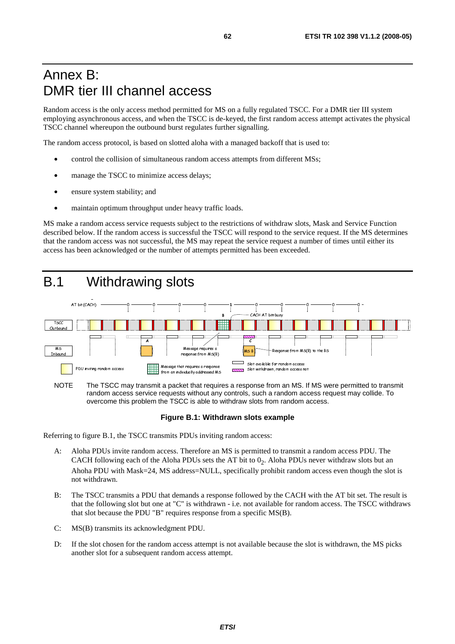## Annex B: DMR tier III channel access

Random access is the only access method permitted for MS on a fully regulated TSCC. For a DMR tier III system employing asynchronous access, and when the TSCC is de-keyed, the first random access attempt activates the physical TSCC channel whereupon the outbound burst regulates further signalling.

The random access protocol, is based on slotted aloha with a managed backoff that is used to:

- control the collision of simultaneous random access attempts from different MSs;
- manage the TSCC to minimize access delays;
- ensure system stability; and
- maintain optimum throughput under heavy traffic loads.

MS make a random access service requests subject to the restrictions of withdraw slots, Mask and Service Function described below. If the random access is successful the TSCC will respond to the service request. If the MS determines that the random access was not successful, the MS may repeat the service request a number of times until either its access has been acknowledged or the number of attempts permitted has been exceeded.



NOTE The TSCC may transmit a packet that requires a response from an MS. If MS were permitted to transmit random access service requests without any controls, such a random access request may collide. To overcome this problem the TSCC is able to withdraw slots from random access.

#### **Figure B.1: Withdrawn slots example**

Referring to figure B.1, the TSCC transmits PDUs inviting random access:

- A: Aloha PDUs invite random access. Therefore an MS is permitted to transmit a random access PDU. The CACH following each of the Aloha PDUs sets the AT bit to  $0<sub>2</sub>$ . Aloha PDUs never withdraw slots but an Ahoha PDU with Mask=24, MS address=NULL, specifically prohibit random access even though the slot is not withdrawn.
- B: The TSCC transmits a PDU that demands a response followed by the CACH with the AT bit set. The result is that the following slot but one at "C" is withdrawn - i.e. not available for random access. The TSCC withdraws that slot because the PDU "B" requires response from a specific MS(B).
- C: MS(B) transmits its acknowledgment PDU.
- D: If the slot chosen for the random access attempt is not available because the slot is withdrawn, the MS picks another slot for a subsequent random access attempt.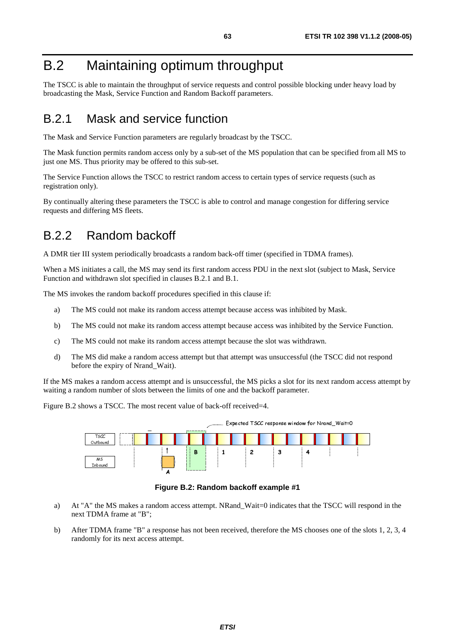## B.2 Maintaining optimum throughput

The TSCC is able to maintain the throughput of service requests and control possible blocking under heavy load by broadcasting the Mask, Service Function and Random Backoff parameters.

### B.2.1 Mask and service function

The Mask and Service Function parameters are regularly broadcast by the TSCC.

The Mask function permits random access only by a sub-set of the MS population that can be specified from all MS to just one MS. Thus priority may be offered to this sub-set.

The Service Function allows the TSCC to restrict random access to certain types of service requests (such as registration only).

By continually altering these parameters the TSCC is able to control and manage congestion for differing service requests and differing MS fleets.

### B.2.2 Random backoff

A DMR tier III system periodically broadcasts a random back-off timer (specified in TDMA frames).

When a MS initiates a call, the MS may send its first random access PDU in the next slot (subject to Mask, Service Function and withdrawn slot specified in clauses B.2.1 and B.1.

The MS invokes the random backoff procedures specified in this clause if:

- a) The MS could not make its random access attempt because access was inhibited by Mask.
- b) The MS could not make its random access attempt because access was inhibited by the Service Function.
- c) The MS could not make its random access attempt because the slot was withdrawn.
- d) The MS did make a random access attempt but that attempt was unsuccessful (the TSCC did not respond before the expiry of Nrand\_Wait).

If the MS makes a random access attempt and is unsuccessful, the MS picks a slot for its next random access attempt by waiting a random number of slots between the limits of one and the backoff parameter.

Figure B.2 shows a TSCC. The most recent value of back-off received=4.



**Figure B.2: Random backoff example #1** 

- a) At "A" the MS makes a random access attempt. NRand\_Wait=0 indicates that the TSCC will respond in the next TDMA frame at "B";
- b) After TDMA frame "B" a response has not been received, therefore the MS chooses one of the slots 1, 2, 3, 4 randomly for its next access attempt.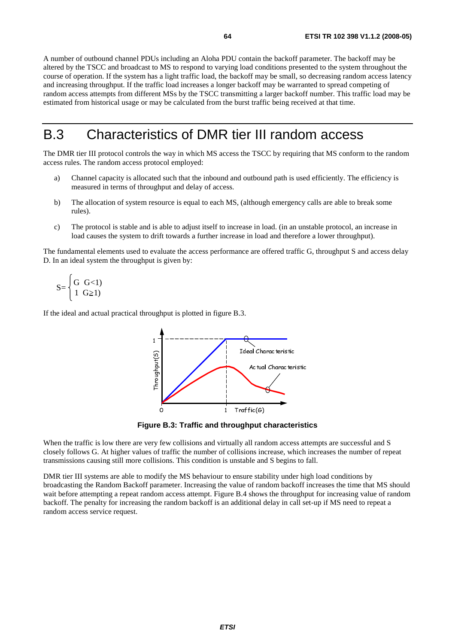A number of outbound channel PDUs including an Aloha PDU contain the backoff parameter. The backoff may be altered by the TSCC and broadcast to MS to respond to varying load conditions presented to the system throughout the course of operation. If the system has a light traffic load, the backoff may be small, so decreasing random access latency and increasing throughput. If the traffic load increases a longer backoff may be warranted to spread competing of random access attempts from different MSs by the TSCC transmitting a larger backoff number. This traffic load may be estimated from historical usage or may be calculated from the burst traffic being received at that time.

## B.3 Characteristics of DMR tier III random access

The DMR tier III protocol controls the way in which MS access the TSCC by requiring that MS conform to the random access rules. The random access protocol employed:

- a) Channel capacity is allocated such that the inbound and outbound path is used efficiently. The efficiency is measured in terms of throughput and delay of access.
- b) The allocation of system resource is equal to each MS, (although emergency calls are able to break some rules).
- c) The protocol is stable and is able to adjust itself to increase in load. (in an unstable protocol, an increase in load causes the system to drift towards a further increase in load and therefore a lower throughput).

The fundamental elements used to evaluate the access performance are offered traffic G, throughput S and access delay D. In an ideal system the throughput is given by:

$$
S = \begin{cases} G & G<1\\ 1 & G \ge 1 \end{cases}
$$

If the ideal and actual practical throughput is plotted in figure B.3.



**B.3: Traffic and throughput**<br>few collisions and virtually all ran<br>traffic the number of collisions in<br>ions. This condition is unstable an When the traffic is low there are very few collisions and virtually all random access attempts are successful and S closely follows G. At higher values of traffic the number of collisions increase, which increases the number of repeat transmissions causing still more collisions. This condition is unstable and S begins to fall.

DMR tier III systems are able to modify the MS behaviour to ensure stability under high load conditions by broadcasting the Random Backoff parameter. Increasing the value of random backoff increases the time that MS should wait before attempting a repeat random access attempt. Figure B.4 shows the throughput for increasing value of random backoff. The penalty for increasing the random backoff is an additional delay in call set-up if MS need to repeat a random access service request.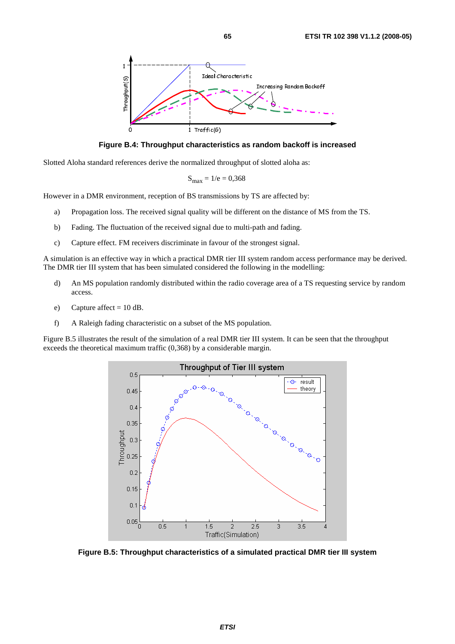

**Figure B.4: Throughput characteristics as random backoff is increased** 

Slotted Aloha standard references derive the normalized throughput of slotted aloha as:

$$
S_{\text{max}} = 1/e = 0,368
$$

However in a DMR environment, reception of BS transmissions by TS are affected by:

- a) Propagation loss. The received signal quality will be different on the distance of MS from the TS.
- b) Fading. The fluctuation of the received signal due to multi-path and fading.
- c) Capture effect. FM receivers discriminate in favour of the strongest signal.

A simulation is an effective way in which a practical DMR tier III system random access performance may be derived. The DMR tier III system that has been simulated considered the following in the modelling:

- d) An MS population randomly distributed within the radio coverage area of a TS requesting service by random access.
- e) Capture affect =  $10$  dB.
- f) A Raleigh fading characteristic on a subset of the MS population.

Figure B.5 illustrates the result of the simulation of a real DMR tier III system. It can be seen that the throughput exceeds the theoretical maximum traffic (0,368) by a considerable margin.



**Figure B.5: Throughput characteristics of a simulated practical DMR tier III system**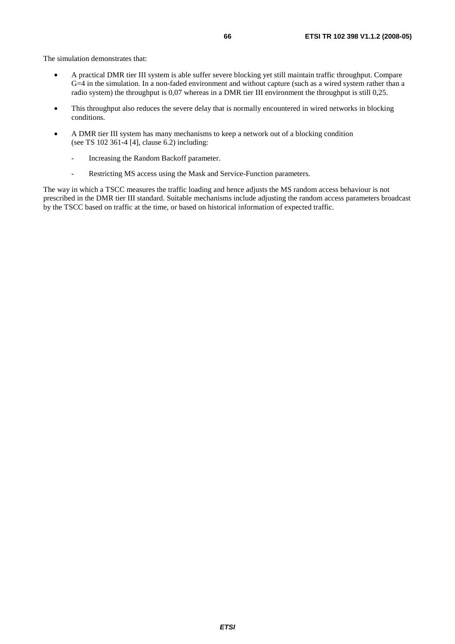The simulation demonstrates that:

- A practical DMR tier III system is able suffer severe blocking yet still maintain traffic throughput. Compare G=4 in the simulation. In a non-faded environment and without capture (such as a wired system rather than a radio system) the throughput is 0,07 whereas in a DMR tier III environment the throughput is still 0,25.
- This throughput also reduces the severe delay that is normally encountered in wired networks in blocking conditions.
- A DMR tier III system has many mechanisms to keep a network out of a blocking condition (see TS 102 361-4 [4], clause 6.2) including:
	- Increasing the Random Backoff parameter.
	- Restricting MS access using the Mask and Service-Function parameters.

The way in which a TSCC measures the traffic loading and hence adjusts the MS random access behaviour is not prescribed in the DMR tier III standard. Suitable mechanisms include adjusting the random access parameters broadcast by the TSCC based on traffic at the time, or based on historical information of expected traffic.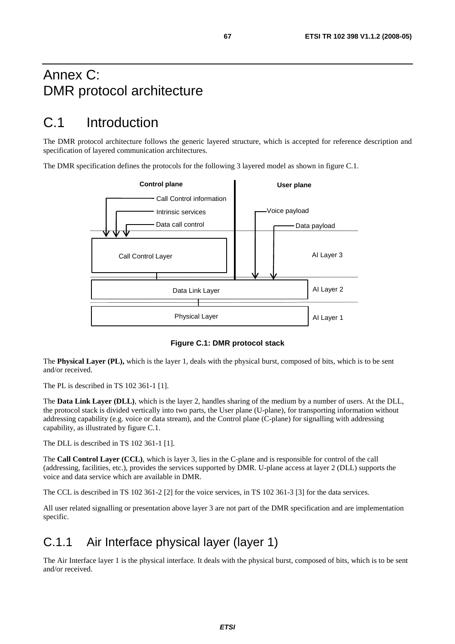## Annex C: DMR protocol architecture

## C.1 Introduction

The DMR protocol architecture follows the generic layered structure, which is accepted for reference description and specification of layered communication architectures.

The DMR specification defines the protocols for the following 3 layered model as shown in figure C.1.



**Figure C.1: DMR protocol stack** 

The **Physical Layer (PL),** which is the layer 1, deals with the physical burst, composed of bits, which is to be sent and/or received.

The PL is described in TS 102 361-1 [1].

The **Data Link Layer (DLL)**, which is the layer 2, handles sharing of the medium by a number of users. At the DLL, the protocol stack is divided vertically into two parts, the User plane (U-plane), for transporting information without addressing capability (e.g. voice or data stream), and the Control plane (C-plane) for signalling with addressing capability, as illustrated by figure C.1.

The DLL is described in TS 102 361-1 [1].

The **Call Control Layer (CCL)**, which is layer 3, lies in the C-plane and is responsible for control of the call (addressing, facilities, etc.), provides the services supported by DMR. U-plane access at layer 2 (DLL) supports the voice and data service which are available in DMR.

The CCL is described in TS 102 361-2 [2] for the voice services, in TS 102 361-3 [3] for the data services.

All user related signalling or presentation above layer 3 are not part of the DMR specification and are implementation specific.

### C.1.1 Air Interface physical layer (layer 1)

The Air Interface layer 1 is the physical interface. It deals with the physical burst, composed of bits, which is to be sent and/or received.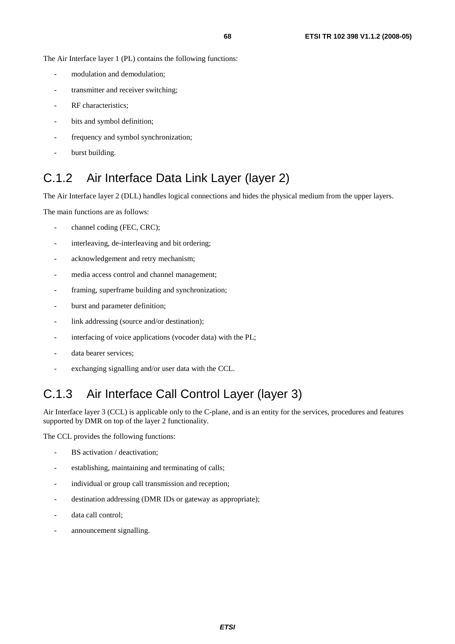The Air Interface layer 1 (PL) contains the following functions:

- modulation and demodulation;
- transmitter and receiver switching;
- RF characteristics:
- bits and symbol definition;
- frequency and symbol synchronization;
- burst building.

## C.1.2 Air Interface Data Link Layer (layer 2)

The Air Interface layer 2 (DLL) handles logical connections and hides the physical medium from the upper layers.

The main functions are as follows:

- channel coding (FEC, CRC);
- interleaving, de-interleaving and bit ordering;
- acknowledgement and retry mechanism;
- media access control and channel management;
- framing, superframe building and synchronization;
- burst and parameter definition;
- link addressing (source and/or destination);
- interfacing of voice applications (vocoder data) with the PL;
- data bearer services;
- exchanging signalling and/or user data with the CCL.

## C.1.3 Air Interface Call Control Layer (layer 3)

Air Interface layer 3 (CCL) is applicable only to the C-plane, and is an entity for the services, procedures and features supported by DMR on top of the layer 2 functionality.

The CCL provides the following functions:

- BS activation / deactivation;
- establishing, maintaining and terminating of calls;
- individual or group call transmission and reception;
- destination addressing (DMR IDs or gateway as appropriate);
- data call control;
- announcement signalling.